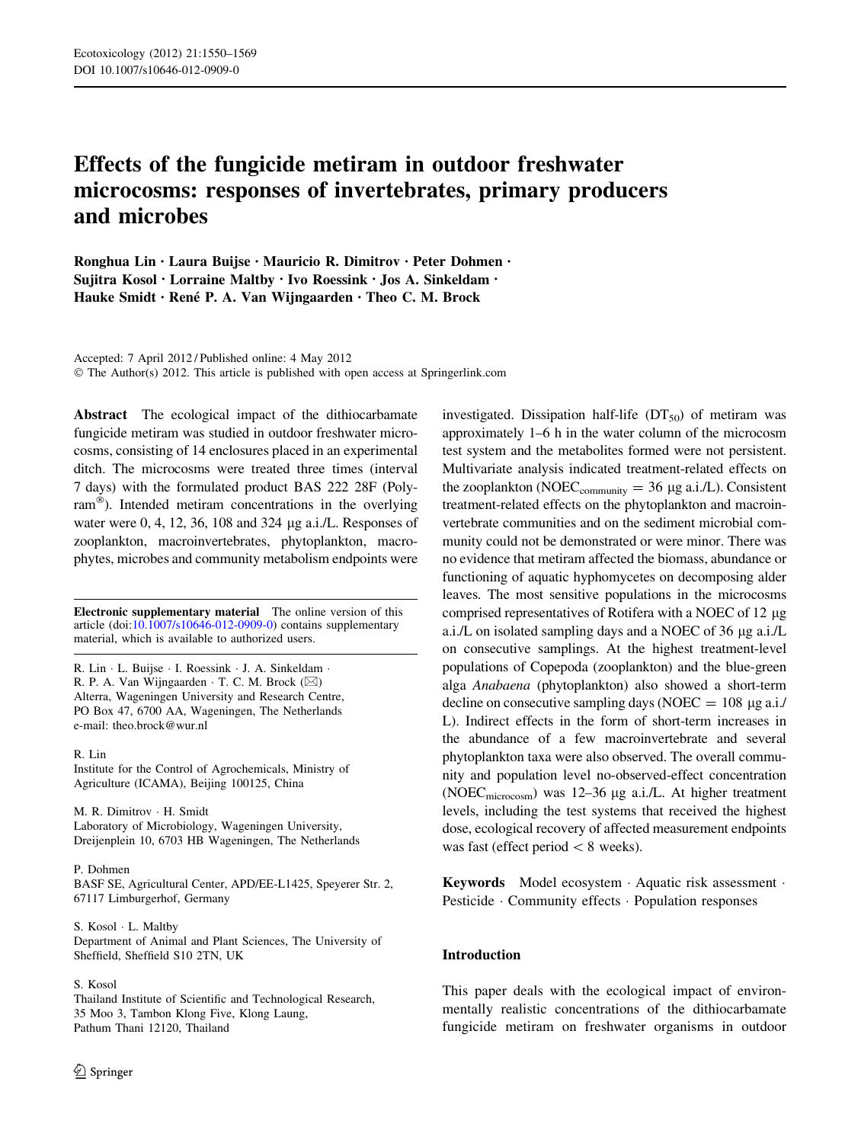# Effects of the fungicide metiram in outdoor freshwater microcosms: responses of invertebrates, primary producers and microbes

Ronghua Lin • Laura Buijse • Mauricio R. Dimitrov • Peter Dohmen • Sujitra Kosol • Lorraine Maltby • Ivo Roessink • Jos A. Sinkeldam • Hauke Smidt · René P. A. Van Wijngaarden · Theo C. M. Brock

Accepted: 7 April 2012 / Published online: 4 May 2012 © The Author(s) 2012. This article is published with open access at Springerlink.com

Abstract The ecological impact of the dithiocarbamate fungicide metiram was studied in outdoor freshwater microcosms, consisting of 14 enclosures placed in an experimental ditch. The microcosms were treated three times (interval 7 days) with the formulated product BAS 222 28F (Polyram<sup>®</sup>). Intended metiram concentrations in the overlying water were  $0, 4, 12, 36, 108$  and  $324 \mu$ g a.i./L. Responses of zooplankton, macroinvertebrates, phytoplankton, macrophytes, microbes and community metabolism endpoints were

Electronic supplementary material The online version of this article (doi:[10.1007/s10646-012-0909-0\)](http://dx.doi.org/10.1007/s10646-012-0909-0) contains supplementary material, which is available to authorized users.

R. Lin - L. Buijse - I. Roessink - J. A. Sinkeldam - R. P. A. Van Wijngaarden  $\cdot$  T. C. M. Brock ( $\boxtimes$ ) Alterra, Wageningen University and Research Centre, PO Box 47, 6700 AA, Wageningen, The Netherlands e-mail: theo.brock@wur.nl

## R. Lin

Institute for the Control of Agrochemicals, Ministry of Agriculture (ICAMA), Beijing 100125, China

M. R. Dimitrov - H. Smidt Laboratory of Microbiology, Wageningen University, Dreijenplein 10, 6703 HB Wageningen, The Netherlands

P. Dohmen

BASF SE, Agricultural Center, APD/EE-L1425, Speyerer Str. 2, 67117 Limburgerhof, Germany

S. Kosol - L. Maltby Department of Animal and Plant Sciences, The University of Sheffield, Sheffield S10 2TN, UK

# S. Kosol

Thailand Institute of Scientific and Technological Research, 35 Moo 3, Tambon Klong Five, Klong Laung, Pathum Thani 12120, Thailand

investigated. Dissipation half-life  $(DT_{50})$  of metiram was approximately 1–6 h in the water column of the microcosm test system and the metabolites formed were not persistent. Multivariate analysis indicated treatment-related effects on the zooplankton (NOEC<sub>community</sub> = 36 µg a.i./L). Consistent treatment-related effects on the phytoplankton and macroinvertebrate communities and on the sediment microbial community could not be demonstrated or were minor. There was no evidence that metiram affected the biomass, abundance or functioning of aquatic hyphomycetes on decomposing alder leaves. The most sensitive populations in the microcosms comprised representatives of Rotifera with a NOEC of 12 µg a.i./L on isolated sampling days and a NOEC of 36 µg a.i./L on consecutive samplings. At the highest treatment-level populations of Copepoda (zooplankton) and the blue-green alga Anabaena (phytoplankton) also showed a short-term decline on consecutive sampling days (NOEC  $= 108 \text{ µg a.i.}$ L). Indirect effects in the form of short-term increases in the abundance of a few macroinvertebrate and several phytoplankton taxa were also observed. The overall community and population level no-observed-effect concentration (NOEC $_{microcosm}$ ) was 12–36 µg a.i./L. At higher treatment levels, including the test systems that received the highest dose, ecological recovery of affected measurement endpoints was fast (effect period  $< 8$  weeks).

Keywords Model ecosystem - Aquatic risk assessment - Pesticide · Community effects · Population responses

# Introduction

This paper deals with the ecological impact of environmentally realistic concentrations of the dithiocarbamate fungicide metiram on freshwater organisms in outdoor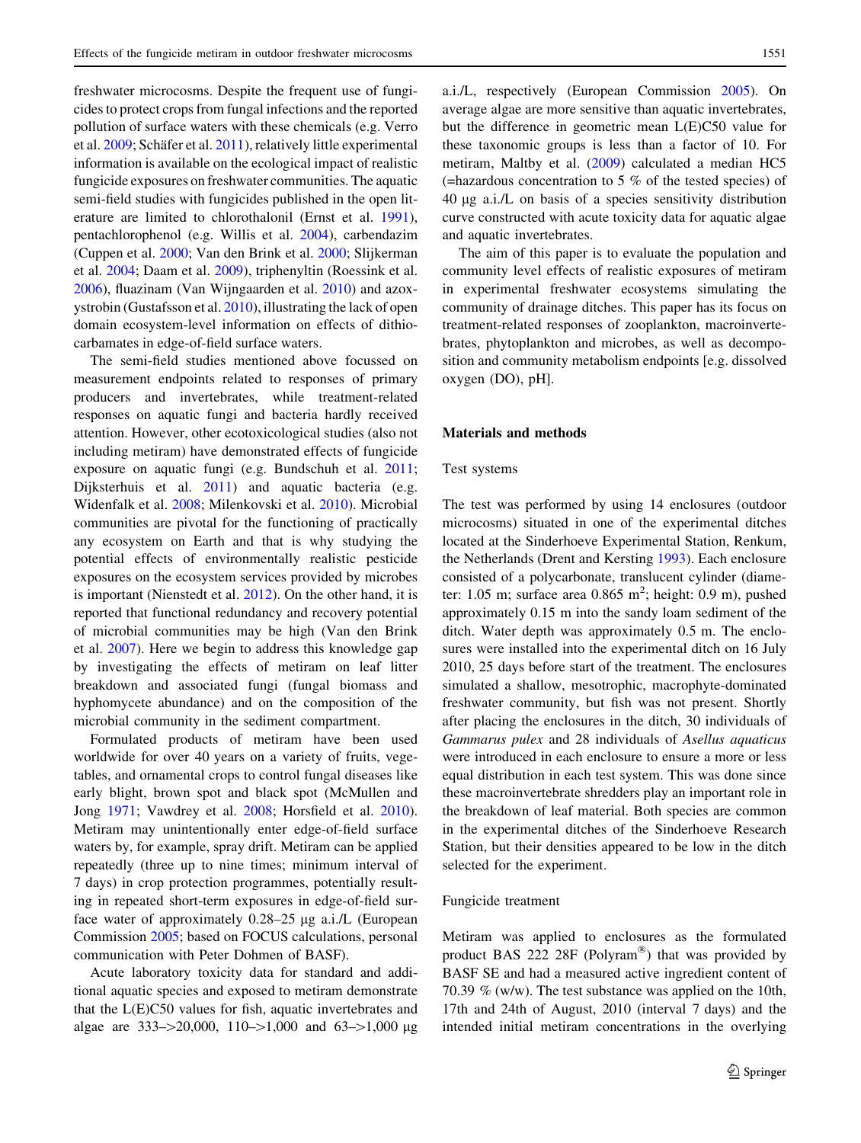freshwater microcosms. Despite the frequent use of fungicides to protect crops from fungal infections and the reported pollution of surface waters with these chemicals (e.g. Verro et al. [2009;](#page-19-0) Schäfer et al. [2011](#page-18-0)), relatively little experimental information is available on the ecological impact of realistic fungicide exposures on freshwater communities. The aquatic semi-field studies with fungicides published in the open literature are limited to chlorothalonil (Ernst et al. [1991](#page-18-0)), pentachlorophenol (e.g. Willis et al. [2004\)](#page-19-0), carbendazim (Cuppen et al. [2000](#page-17-0); Van den Brink et al. [2000;](#page-19-0) Slijkerman et al. [2004;](#page-19-0) Daam et al. [2009](#page-18-0)), triphenyltin (Roessink et al. [2006\)](#page-18-0), fluazinam (Van Wijngaarden et al. [2010](#page-19-0)) and azoxystrobin (Gustafsson et al. [2010\)](#page-18-0), illustrating the lack of open domain ecosystem-level information on effects of dithiocarbamates in edge-of-field surface waters.

The semi-field studies mentioned above focussed on measurement endpoints related to responses of primary producers and invertebrates, while treatment-related responses on aquatic fungi and bacteria hardly received attention. However, other ecotoxicological studies (also not including metiram) have demonstrated effects of fungicide exposure on aquatic fungi (e.g. Bundschuh et al. [2011](#page-17-0); Dijksterhuis et al. [2011\)](#page-18-0) and aquatic bacteria (e.g. Widenfalk et al. [2008](#page-19-0); Milenkovski et al. [2010\)](#page-18-0). Microbial communities are pivotal for the functioning of practically any ecosystem on Earth and that is why studying the potential effects of environmentally realistic pesticide exposures on the ecosystem services provided by microbes is important (Nienstedt et al. [2012](#page-18-0)). On the other hand, it is reported that functional redundancy and recovery potential of microbial communities may be high (Van den Brink et al. [2007](#page-19-0)). Here we begin to address this knowledge gap by investigating the effects of metiram on leaf litter breakdown and associated fungi (fungal biomass and hyphomycete abundance) and on the composition of the microbial community in the sediment compartment.

Formulated products of metiram have been used worldwide for over 40 years on a variety of fruits, vegetables, and ornamental crops to control fungal diseases like early blight, brown spot and black spot (McMullen and Jong [1971](#page-18-0); Vawdrey et al. [2008;](#page-19-0) Horsfield et al. [2010](#page-18-0)). Metiram may unintentionally enter edge-of-field surface waters by, for example, spray drift. Metiram can be applied repeatedly (three up to nine times; minimum interval of 7 days) in crop protection programmes, potentially resulting in repeated short-term exposures in edge-of-field surface water of approximately  $0.28-25$  µg a.i./L (European Commission [2005](#page-18-0); based on FOCUS calculations, personal communication with Peter Dohmen of BASF).

Acute laboratory toxicity data for standard and additional aquatic species and exposed to metiram demonstrate that the L(E)C50 values for fish, aquatic invertebrates and algae are 333- $>20,000$ , 110- $>1,000$  and 63- $>1,000$  µg a.i./L, respectively (European Commission [2005](#page-18-0)). On average algae are more sensitive than aquatic invertebrates, but the difference in geometric mean L(E)C50 value for these taxonomic groups is less than a factor of 10. For metiram, Maltby et al. [\(2009](#page-18-0)) calculated a median HC5 (=hazardous concentration to 5 % of the tested species) of 40 lg a.i./L on basis of a species sensitivity distribution curve constructed with acute toxicity data for aquatic algae and aquatic invertebrates.

The aim of this paper is to evaluate the population and community level effects of realistic exposures of metiram in experimental freshwater ecosystems simulating the community of drainage ditches. This paper has its focus on treatment-related responses of zooplankton, macroinvertebrates, phytoplankton and microbes, as well as decomposition and community metabolism endpoints [e.g. dissolved oxygen (DO), pH].

## Materials and methods

#### Test systems

The test was performed by using 14 enclosures (outdoor microcosms) situated in one of the experimental ditches located at the Sinderhoeve Experimental Station, Renkum, the Netherlands (Drent and Kersting [1993\)](#page-18-0). Each enclosure consisted of a polycarbonate, translucent cylinder (diameter: 1.05 m; surface area 0.865  $m^2$ ; height: 0.9 m), pushed approximately 0.15 m into the sandy loam sediment of the ditch. Water depth was approximately 0.5 m. The enclosures were installed into the experimental ditch on 16 July 2010, 25 days before start of the treatment. The enclosures simulated a shallow, mesotrophic, macrophyte-dominated freshwater community, but fish was not present. Shortly after placing the enclosures in the ditch, 30 individuals of Gammarus pulex and 28 individuals of Asellus aquaticus were introduced in each enclosure to ensure a more or less equal distribution in each test system. This was done since these macroinvertebrate shredders play an important role in the breakdown of leaf material. Both species are common in the experimental ditches of the Sinderhoeve Research Station, but their densities appeared to be low in the ditch selected for the experiment.

#### Fungicide treatment

Metiram was applied to enclosures as the formulated product BAS 222 28F (Polyram<sup>®</sup>) that was provided by BASF SE and had a measured active ingredient content of 70.39 % (w/w). The test substance was applied on the 10th, 17th and 24th of August, 2010 (interval 7 days) and the intended initial metiram concentrations in the overlying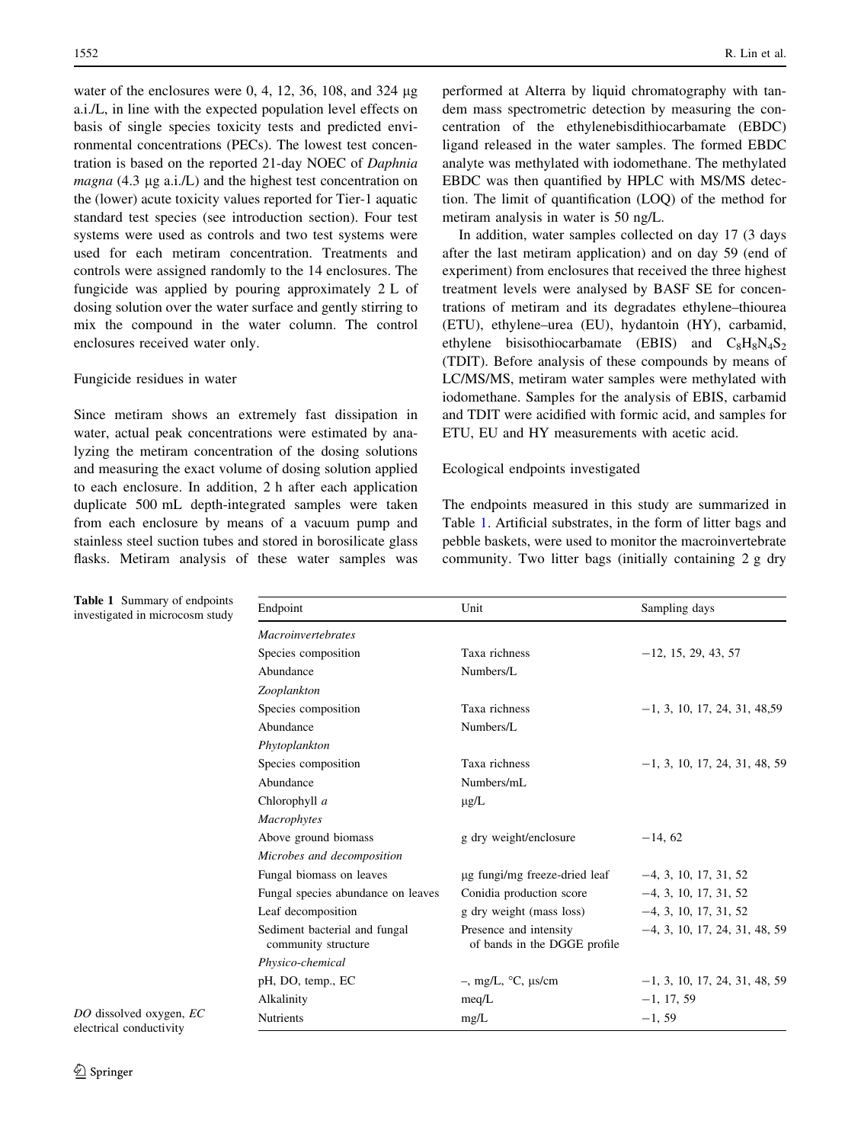<span id="page-2-0"></span>water of the enclosures were 0, 4, 12, 36, 108, and 324  $\mu$ g a.i./L, in line with the expected population level effects on basis of single species toxicity tests and predicted environmental concentrations (PECs). The lowest test concentration is based on the reported 21-day NOEC of Daphnia magna  $(4.3 \mu g a.i.L)$  and the highest test concentration on the (lower) acute toxicity values reported for Tier-1 aquatic standard test species (see introduction section). Four test systems were used as controls and two test systems were used for each metiram concentration. Treatments and controls were assigned randomly to the 14 enclosures. The fungicide was applied by pouring approximately 2 L of dosing solution over the water surface and gently stirring to mix the compound in the water column. The control enclosures received water only.

## Fungicide residues in water

Since metiram shows an extremely fast dissipation in water, actual peak concentrations were estimated by analyzing the metiram concentration of the dosing solutions and measuring the exact volume of dosing solution applied to each enclosure. In addition, 2 h after each application duplicate 500 mL depth-integrated samples were taken from each enclosure by means of a vacuum pump and stainless steel suction tubes and stored in borosilicate glass flasks. Metiram analysis of these water samples was

performed at Alterra by liquid chromatography with tandem mass spectrometric detection by measuring the concentration of the ethylenebisdithiocarbamate (EBDC) ligand released in the water samples. The formed EBDC analyte was methylated with iodomethane. The methylated EBDC was then quantified by HPLC with MS/MS detection. The limit of quantification (LOQ) of the method for metiram analysis in water is 50 ng/L.

In addition, water samples collected on day 17 (3 days after the last metiram application) and on day 59 (end of experiment) from enclosures that received the three highest treatment levels were analysed by BASF SE for concentrations of metiram and its degradates ethylene–thiourea (ETU), ethylene–urea (EU), hydantoin (HY), carbamid, ethylene bisisothiocarbamate (EBIS) and  $C_8H_8N_4S_2$ (TDIT). Before analysis of these compounds by means of LC/MS/MS, metiram water samples were methylated with iodomethane. Samples for the analysis of EBIS, carbamid and TDIT were acidified with formic acid, and samples for ETU, EU and HY measurements with acetic acid.

#### Ecological endpoints investigated

The endpoints measured in this study are summarized in Table 1. Artificial substrates, in the form of litter bags and pebble baskets, were used to monitor the macroinvertebrate community. Two litter bags (initially containing 2 g dry

| Endpoint                                             | Unit                                                   | Sampling days                   |
|------------------------------------------------------|--------------------------------------------------------|---------------------------------|
| <b>Macroinvertebrates</b>                            |                                                        |                                 |
| Species composition                                  | Taxa richness                                          | $-12, 15, 29, 43, 57$           |
| Abundance                                            | Numbers/L                                              |                                 |
| Zooplankton                                          |                                                        |                                 |
| Species composition                                  | Taxa richness                                          | $-1, 3, 10, 17, 24, 31, 48, 59$ |
| Abundance                                            | Numbers/L                                              |                                 |
| Phytoplankton                                        |                                                        |                                 |
| Species composition                                  | Taxa richness                                          | $-1, 3, 10, 17, 24, 31, 48, 59$ |
| Abundance                                            | Numbers/mL                                             |                                 |
| Chlorophyll a                                        | $\mu$ g/L                                              |                                 |
| Macrophytes                                          |                                                        |                                 |
| Above ground biomass                                 | g dry weight/enclosure                                 | $-14, 62$                       |
| Microbes and decomposition                           |                                                        |                                 |
| Fungal biomass on leaves                             | μg fungi/mg freeze-dried leaf                          | $-4, 3, 10, 17, 31, 52$         |
| Fungal species abundance on leaves                   | Conidia production score                               | $-4, 3, 10, 17, 31, 52$         |
| Leaf decomposition                                   | g dry weight (mass loss)                               | $-4, 3, 10, 17, 31, 52$         |
| Sediment bacterial and fungal<br>community structure | Presence and intensity<br>of bands in the DGGE profile | $-4, 3, 10, 17, 24, 31, 48, 59$ |
| Physico-chemical                                     |                                                        |                                 |
| pH, DO, temp., EC                                    | $-$ , mg/L, $\degree$ C, $\mu$ s/cm                    | $-1, 3, 10, 17, 24, 31, 48, 59$ |
| Alkalinity                                           | meq/L                                                  | $-1, 17, 59$                    |
| <b>Nutrients</b>                                     | mg/L                                                   | $-1, 59$                        |
|                                                      |                                                        |                                 |

Table 1 Summary of endpoints investigated in microcosm study

DO dissolved oxygen, EC electrical conductivity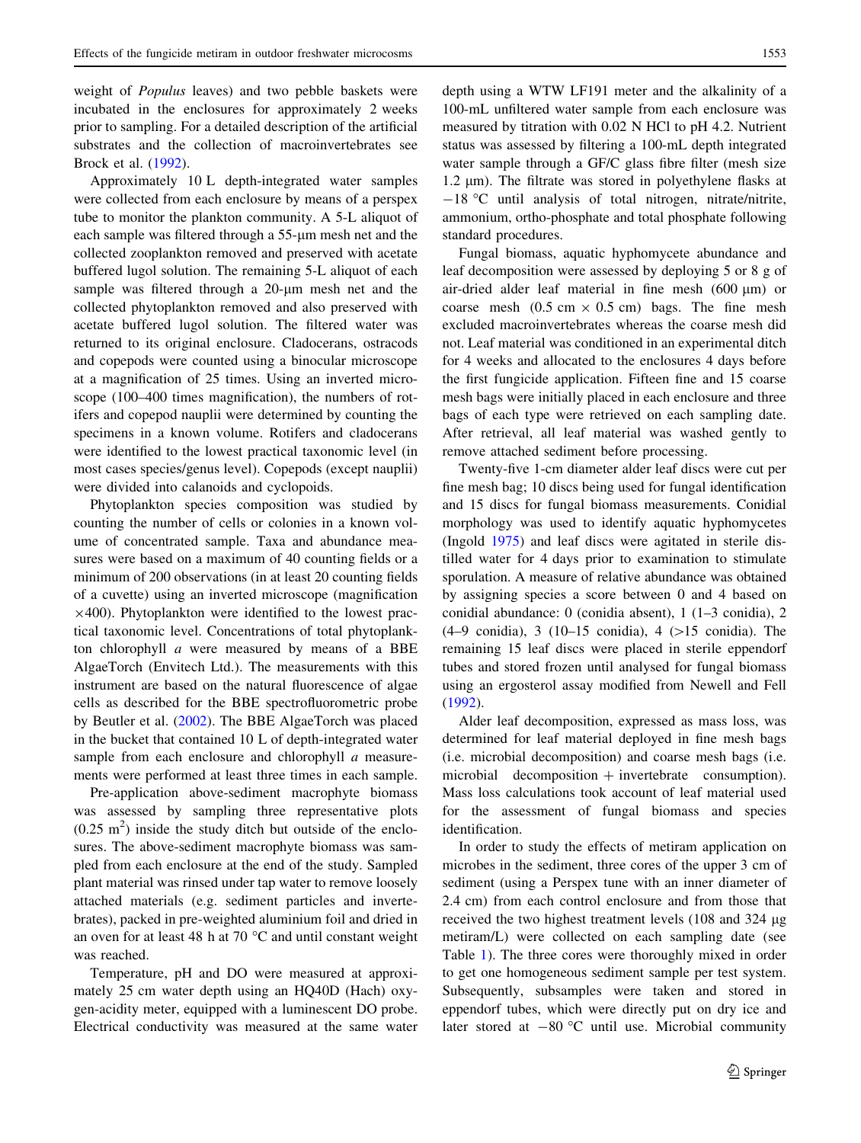weight of Populus leaves) and two pebble baskets were incubated in the enclosures for approximately 2 weeks prior to sampling. For a detailed description of the artificial substrates and the collection of macroinvertebrates see Brock et al. ([1992\)](#page-17-0).

Approximately 10 L depth-integrated water samples were collected from each enclosure by means of a perspex tube to monitor the plankton community. A 5-L aliquot of each sample was filtered through a 55-um mesh net and the collected zooplankton removed and preserved with acetate buffered lugol solution. The remaining 5-L aliquot of each sample was filtered through a 20-um mesh net and the collected phytoplankton removed and also preserved with acetate buffered lugol solution. The filtered water was returned to its original enclosure. Cladocerans, ostracods and copepods were counted using a binocular microscope at a magnification of 25 times. Using an inverted microscope (100–400 times magnification), the numbers of rotifers and copepod nauplii were determined by counting the specimens in a known volume. Rotifers and cladocerans were identified to the lowest practical taxonomic level (in most cases species/genus level). Copepods (except nauplii) were divided into calanoids and cyclopoids.

Phytoplankton species composition was studied by counting the number of cells or colonies in a known volume of concentrated sample. Taxa and abundance measures were based on a maximum of 40 counting fields or a minimum of 200 observations (in at least 20 counting fields of a cuvette) using an inverted microscope (magnification  $\times$ 400). Phytoplankton were identified to the lowest practical taxonomic level. Concentrations of total phytoplankton chlorophyll  $a$  were measured by means of a BBE AlgaeTorch (Envitech Ltd.). The measurements with this instrument are based on the natural fluorescence of algae cells as described for the BBE spectrofluorometric probe by Beutler et al. [\(2002](#page-17-0)). The BBE AlgaeTorch was placed in the bucket that contained 10 L of depth-integrated water sample from each enclosure and chlorophyll a measurements were performed at least three times in each sample.

Pre-application above-sediment macrophyte biomass was assessed by sampling three representative plots  $(0.25 \text{ m}^2)$  inside the study ditch but outside of the enclosures. The above-sediment macrophyte biomass was sampled from each enclosure at the end of the study. Sampled plant material was rinsed under tap water to remove loosely attached materials (e.g. sediment particles and invertebrates), packed in pre-weighted aluminium foil and dried in an oven for at least 48 h at 70  $^{\circ}$ C and until constant weight was reached.

Temperature, pH and DO were measured at approximately 25 cm water depth using an HQ40D (Hach) oxygen-acidity meter, equipped with a luminescent DO probe. Electrical conductivity was measured at the same water depth using a WTW LF191 meter and the alkalinity of a 100-mL unfiltered water sample from each enclosure was measured by titration with 0.02 N HCl to pH 4.2. Nutrient status was assessed by filtering a 100-mL depth integrated water sample through a GF/C glass fibre filter (mesh size  $1.2 \mu m$ ). The filtrate was stored in polyethylene flasks at  $-18$  °C until analysis of total nitrogen, nitrate/nitrite, ammonium, ortho-phosphate and total phosphate following standard procedures.

Fungal biomass, aquatic hyphomycete abundance and leaf decomposition were assessed by deploying 5 or 8 g of air-dried alder leaf material in fine mesh  $(600 \mu m)$  or coarse mesh  $(0.5 \text{ cm} \times 0.5 \text{ cm})$  bags. The fine mesh excluded macroinvertebrates whereas the coarse mesh did not. Leaf material was conditioned in an experimental ditch for 4 weeks and allocated to the enclosures 4 days before the first fungicide application. Fifteen fine and 15 coarse mesh bags were initially placed in each enclosure and three bags of each type were retrieved on each sampling date. After retrieval, all leaf material was washed gently to remove attached sediment before processing.

Twenty-five 1-cm diameter alder leaf discs were cut per fine mesh bag; 10 discs being used for fungal identification and 15 discs for fungal biomass measurements. Conidial morphology was used to identify aquatic hyphomycetes (Ingold [1975\)](#page-18-0) and leaf discs were agitated in sterile distilled water for 4 days prior to examination to stimulate sporulation. A measure of relative abundance was obtained by assigning species a score between 0 and 4 based on conidial abundance: 0 (conidia absent), 1 (1–3 conidia), 2 (4–9 conidia), 3 (10–15 conidia), 4 ( $>15$  conidia). The remaining 15 leaf discs were placed in sterile eppendorf tubes and stored frozen until analysed for fungal biomass using an ergosterol assay modified from Newell and Fell [\(1992](#page-18-0)).

Alder leaf decomposition, expressed as mass loss, was determined for leaf material deployed in fine mesh bags (i.e. microbial decomposition) and coarse mesh bags (i.e. microbial decomposition  $+$  invertebrate consumption). Mass loss calculations took account of leaf material used for the assessment of fungal biomass and species identification.

In order to study the effects of metiram application on microbes in the sediment, three cores of the upper 3 cm of sediment (using a Perspex tune with an inner diameter of 2.4 cm) from each control enclosure and from those that received the two highest treatment levels (108 and 324 µg) metiram/L) were collected on each sampling date (see Table [1](#page-2-0)). The three cores were thoroughly mixed in order to get one homogeneous sediment sample per test system. Subsequently, subsamples were taken and stored in eppendorf tubes, which were directly put on dry ice and later stored at  $-80$  °C until use. Microbial community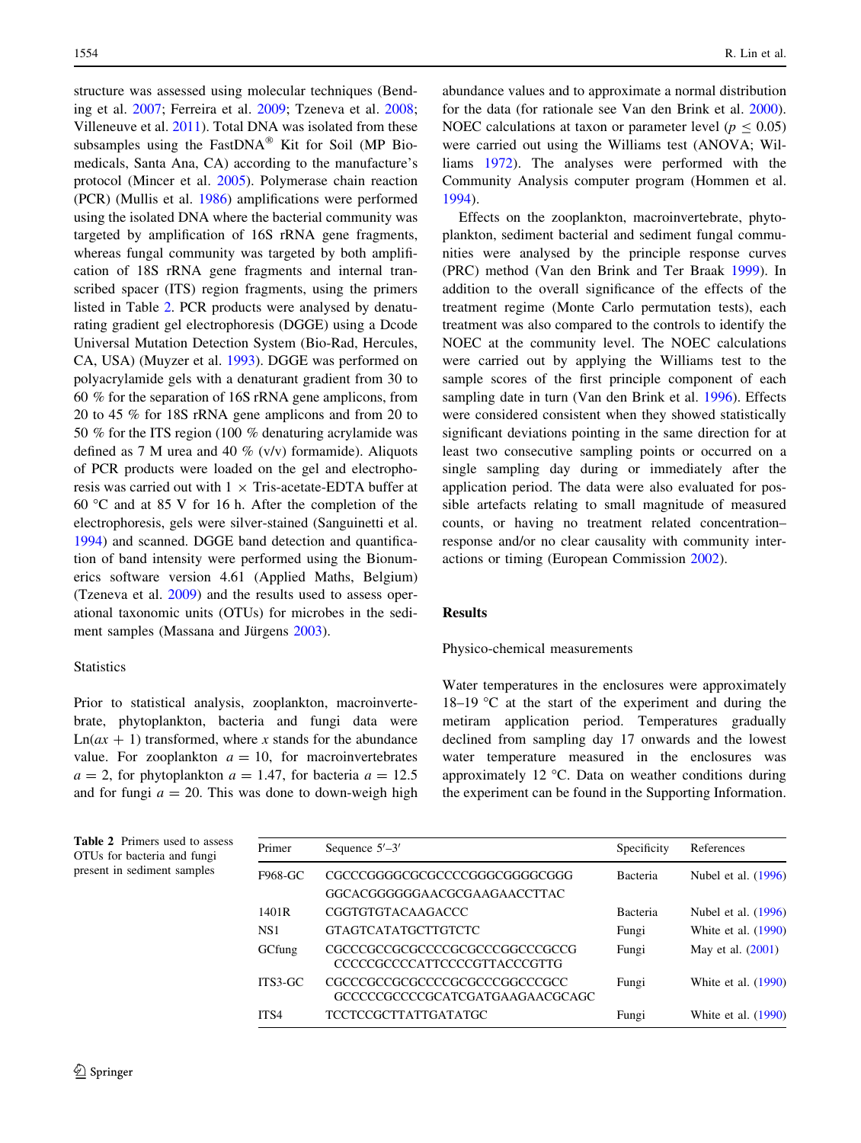structure was assessed using molecular techniques (Bending et al. [2007;](#page-17-0) Ferreira et al. [2009;](#page-18-0) Tzeneva et al. [2008](#page-19-0); Villeneuve et al. [2011](#page-19-0)). Total DNA was isolated from these subsamples using the FastDNA $^{\circledR}$  Kit for Soil (MP Biomedicals, Santa Ana, CA) according to the manufacture's protocol (Mincer et al. [2005](#page-18-0)). Polymerase chain reaction (PCR) (Mullis et al. [1986](#page-18-0)) amplifications were performed using the isolated DNA where the bacterial community was targeted by amplification of 16S rRNA gene fragments, whereas fungal community was targeted by both amplification of 18S rRNA gene fragments and internal transcribed spacer (ITS) region fragments, using the primers listed in Table 2. PCR products were analysed by denaturating gradient gel electrophoresis (DGGE) using a Dcode Universal Mutation Detection System (Bio-Rad, Hercules, CA, USA) (Muyzer et al. [1993\)](#page-18-0). DGGE was performed on polyacrylamide gels with a denaturant gradient from 30 to 60 % for the separation of 16S rRNA gene amplicons, from 20 to 45 % for 18S rRNA gene amplicons and from 20 to 50 % for the ITS region (100 % denaturing acrylamide was defined as 7 M urea and 40  $\%$  (v/v) formamide). Aliquots of PCR products were loaded on the gel and electrophoresis was carried out with  $1 \times$  Tris-acetate-EDTA buffer at 60 °C and at 85 V for 16 h. After the completion of the electrophoresis, gels were silver-stained (Sanguinetti et al. [1994\)](#page-18-0) and scanned. DGGE band detection and quantification of band intensity were performed using the Bionumerics software version 4.61 (Applied Maths, Belgium) (Tzeneva et al. [2009](#page-19-0)) and the results used to assess operational taxonomic units (OTUs) for microbes in the sedi-ment samples (Massana and Jürgens [2003](#page-18-0)).

# **Statistics**

Prior to statistical analysis, zooplankton, macroinvertebrate, phytoplankton, bacteria and fungi data were  $Ln(ax + 1)$  transformed, where x stands for the abundance value. For zooplankton  $a = 10$ , for macroinvertebrates  $a = 2$ , for phytoplankton  $a = 1.47$ , for bacteria  $a = 12.5$ and for fungi  $a = 20$ . This was done to down-weigh high

Primer Sequence  $5^{\prime}-3^{\prime}$ 

abundance values and to approximate a normal distribution for the data (for rationale see Van den Brink et al. [2000](#page-19-0)). NOEC calculations at taxon or parameter level ( $p < 0.05$ ) were carried out using the Williams test (ANOVA; Williams [1972\)](#page-19-0). The analyses were performed with the Community Analysis computer program (Hommen et al. [1994](#page-18-0)).

Effects on the zooplankton, macroinvertebrate, phytoplankton, sediment bacterial and sediment fungal communities were analysed by the principle response curves (PRC) method (Van den Brink and Ter Braak [1999\)](#page-19-0). In addition to the overall significance of the effects of the treatment regime (Monte Carlo permutation tests), each treatment was also compared to the controls to identify the NOEC at the community level. The NOEC calculations were carried out by applying the Williams test to the sample scores of the first principle component of each sampling date in turn (Van den Brink et al. [1996\)](#page-19-0). Effects were considered consistent when they showed statistically significant deviations pointing in the same direction for at least two consecutive sampling points or occurred on a single sampling day during or immediately after the application period. The data were also evaluated for possible artefacts relating to small magnitude of measured counts, or having no treatment related concentration– response and/or no clear causality with community interactions or timing (European Commission [2002\)](#page-18-0).

# **Results**

#### Physico-chemical measurements

Water temperatures in the enclosures were approximately  $18-19$  °C at the start of the experiment and during the metiram application period. Temperatures gradually declined from sampling day 17 onwards and the lowest water temperature measured in the enclosures was approximately 12  $\degree$ C. Data on weather conditions during the experiment can be found in the Supporting Information.

| <b>Table 2</b> Primers used to assess |
|---------------------------------------|
| OTUs for bacteria and fungi           |
| present in sediment samples           |

| Primer  | Sequence $5'$ –3'                                                | Specificity     | References            |
|---------|------------------------------------------------------------------|-----------------|-----------------------|
| F968-GC | CGCCCGGGGCGCGCCCCGGGCGGGGCGGG                                    | <b>Bacteria</b> | Nubel et al. (1996)   |
|         | GGCACGGGGGGAACGCGAAGAACCTTAC                                     |                 |                       |
| 1401R   | CGGTGTGTACAAGACCC                                                | Bacteria        | Nubel et al. (1996)   |
| NS1     | <b>GTAGTCATATGCTTGTCTC</b>                                       | Fungi           | White et al. $(1990)$ |
| GCfung  | CGCCCGCCGCCCCCCGCGCCCGGCCCGCCCG<br>CCCCCGCCCCATTCCCCGTTACCCGTTG  | Fungi           | May et al. $(2001)$   |
| ITS3-GC | CGCCCGCCGCGCCCCGCGCCCGGCCCGCC<br>GCCCCCGCCCCGCATCGATGAAGAACGCAGC | Fungi           | White et al. $(1990)$ |
| ITS4    | <b>TCCTCCGCTTATTGATATGC</b>                                      | Fungi           | White et al. $(1990)$ |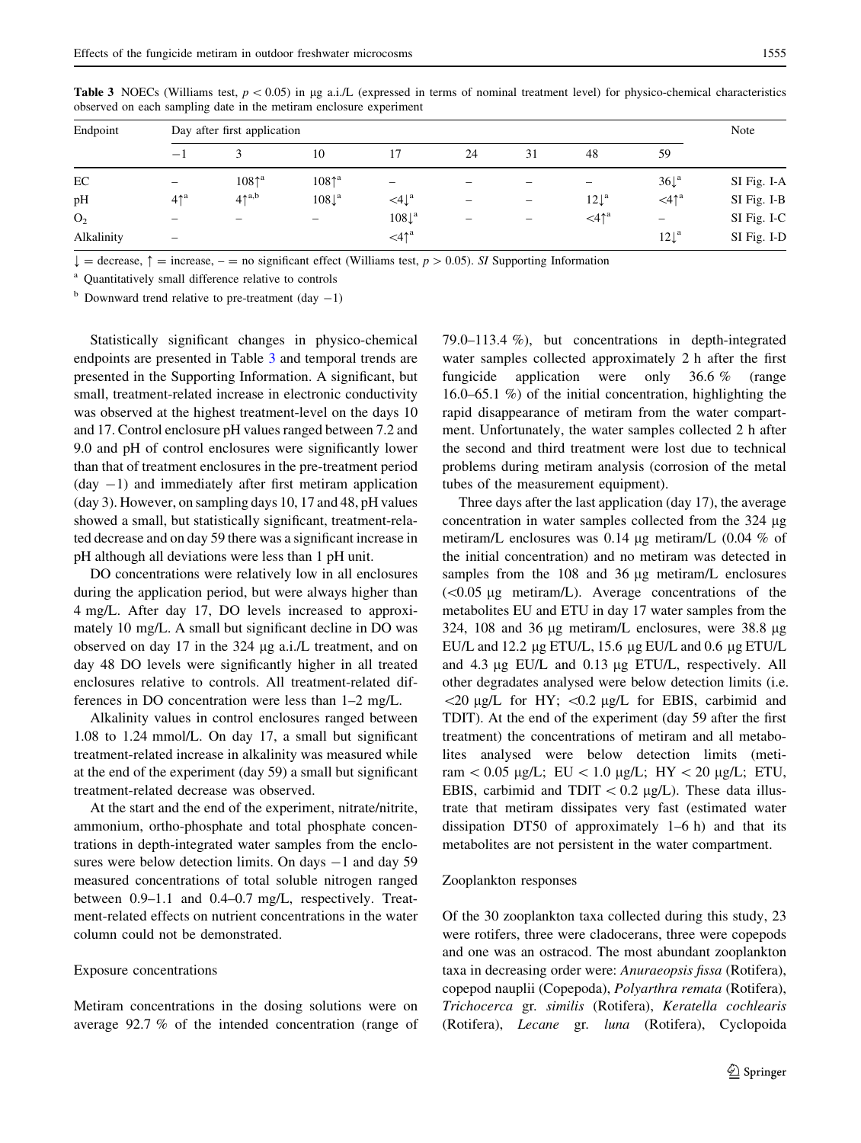| Endpoint       |                          | Day after first application |                          |                          |                          |                          |                             |                        |             |  |  |  |  |
|----------------|--------------------------|-----------------------------|--------------------------|--------------------------|--------------------------|--------------------------|-----------------------------|------------------------|-------------|--|--|--|--|
|                | $-1$                     |                             | 10                       | 17                       | 24                       | 31                       | 48                          | 59                     |             |  |  |  |  |
| EC             | $\overline{\phantom{0}}$ | 108 <sup>4</sup>            | 108 <sup>4</sup>         | $\overline{\phantom{0}}$ | $\overline{\phantom{a}}$ | $\overline{\phantom{a}}$ | -                           | $36\downarrow^{\rm a}$ | SI Fig. I-A |  |  |  |  |
| pH             | 4 <sup>1</sup>           | $4\uparrow^{a,b}$           | $108\downarrow^{\rm a}$  | $\ll 4\downarrow^a$      | -                        | $\overline{\phantom{a}}$ | $12\downarrow^{\mathrm{a}}$ | $\leq 4 \uparrow^a$    | SI Fig. I-B |  |  |  |  |
| O <sub>2</sub> | $\overline{\phantom{a}}$ | -                           | $\overline{\phantom{0}}$ | $108\downarrow^{\rm a}$  | $\overline{\phantom{a}}$ | $\overline{\phantom{m}}$ | $\leq 4\uparrow^a$          | $\qquad \qquad$        | SI Fig. I-C |  |  |  |  |
| Alkalinity     | -                        |                             |                          | $\leq 4 \uparrow^a$      |                          |                          |                             | $12\downarrow^{\rm a}$ | SI Fig. I-D |  |  |  |  |

**Table 3** NOECs (Williams test,  $p < 0.05$ ) in µg a.i./L (expressed in terms of nominal treatment level) for physico-chemical characteristics observed on each sampling date in the metiram enclosure experiment

 $\downarrow$  = decrease,  $\uparrow$  = increase, – = no significant effect (Williams test,  $p > 0.05$ ). SI Supporting Information

<sup>a</sup> Quantitatively small difference relative to controls

 $<sup>b</sup>$  Downward trend relative to pre-treatment (day  $-1$ )</sup>

Statistically significant changes in physico-chemical endpoints are presented in Table 3 and temporal trends are presented in the Supporting Information. A significant, but small, treatment-related increase in electronic conductivity was observed at the highest treatment-level on the days 10 and 17. Control enclosure pH values ranged between 7.2 and 9.0 and pH of control enclosures were significantly lower than that of treatment enclosures in the pre-treatment period  $(\text{day} -1)$  and immediately after first metiram application (day 3). However, on sampling days 10, 17 and 48, pH values showed a small, but statistically significant, treatment-related decrease and on day 59 there was a significant increase in pH although all deviations were less than 1 pH unit.

DO concentrations were relatively low in all enclosures during the application period, but were always higher than 4 mg/L. After day 17, DO levels increased to approximately 10 mg/L. A small but significant decline in DO was observed on day 17 in the 324 µg a.i./L treatment, and on day 48 DO levels were significantly higher in all treated enclosures relative to controls. All treatment-related differences in DO concentration were less than 1–2 mg/L.

Alkalinity values in control enclosures ranged between 1.08 to 1.24 mmol/L. On day 17, a small but significant treatment-related increase in alkalinity was measured while at the end of the experiment (day 59) a small but significant treatment-related decrease was observed.

At the start and the end of the experiment, nitrate/nitrite, ammonium, ortho-phosphate and total phosphate concentrations in depth-integrated water samples from the enclosures were below detection limits. On days  $-1$  and day 59 measured concentrations of total soluble nitrogen ranged between 0.9–1.1 and 0.4–0.7 mg/L, respectively. Treatment-related effects on nutrient concentrations in the water column could not be demonstrated.

#### Exposure concentrations

Metiram concentrations in the dosing solutions were on average 92.7 % of the intended concentration (range of

79.0–113.4 %), but concentrations in depth-integrated water samples collected approximately 2 h after the first fungicide application were only 36.6 % (range 16.0–65.1 %) of the initial concentration, highlighting the rapid disappearance of metiram from the water compartment. Unfortunately, the water samples collected 2 h after the second and third treatment were lost due to technical problems during metiram analysis (corrosion of the metal tubes of the measurement equipment).

Three days after the last application (day 17), the average concentration in water samples collected from the  $324 \mu g$ metiram/L enclosures was  $0.14 \mu$ g metiram/L (0.04 % of the initial concentration) and no metiram was detected in samples from the  $108$  and  $36 \mu$ g metiram/L enclosures  $(<0.05 \mu g$  metiram/L). Average concentrations of the metabolites EU and ETU in day 17 water samples from the 324, 108 and 36  $\mu$ g metiram/L enclosures, were 38.8  $\mu$ g EU/L and 12.2 μg ETU/L, 15.6 μg EU/L and 0.6 μg ETU/L and 4.3 µg EU/L and 0.13 µg ETU/L, respectively. All other degradates analysed were below detection limits (i.e.  $\langle 20 \mu g/L \rangle$  for HY;  $\langle 0.2 \mu g/L \rangle$  for EBIS, carbimid and TDIT). At the end of the experiment (day 59 after the first treatment) the concentrations of metiram and all metabolites analysed were below detection limits (metiram  $\langle 0.05 \mu g/L; \text{EU} \langle 1.0 \mu g/L; \text{HY} \langle 20 \mu g/L; \text{ETU},$ EBIS, carbimid and TDIT  $< 0.2 \mu g/L$ ). These data illustrate that metiram dissipates very fast (estimated water dissipation DT50 of approximately 1–6 h) and that its metabolites are not persistent in the water compartment.

### Zooplankton responses

Of the 30 zooplankton taxa collected during this study, 23 were rotifers, three were cladocerans, three were copepods and one was an ostracod. The most abundant zooplankton taxa in decreasing order were: Anuraeopsis fissa (Rotifera), copepod nauplii (Copepoda), Polyarthra remata (Rotifera), Trichocerca gr. similis (Rotifera), Keratella cochlearis (Rotifera), Lecane gr. luna (Rotifera), Cyclopoida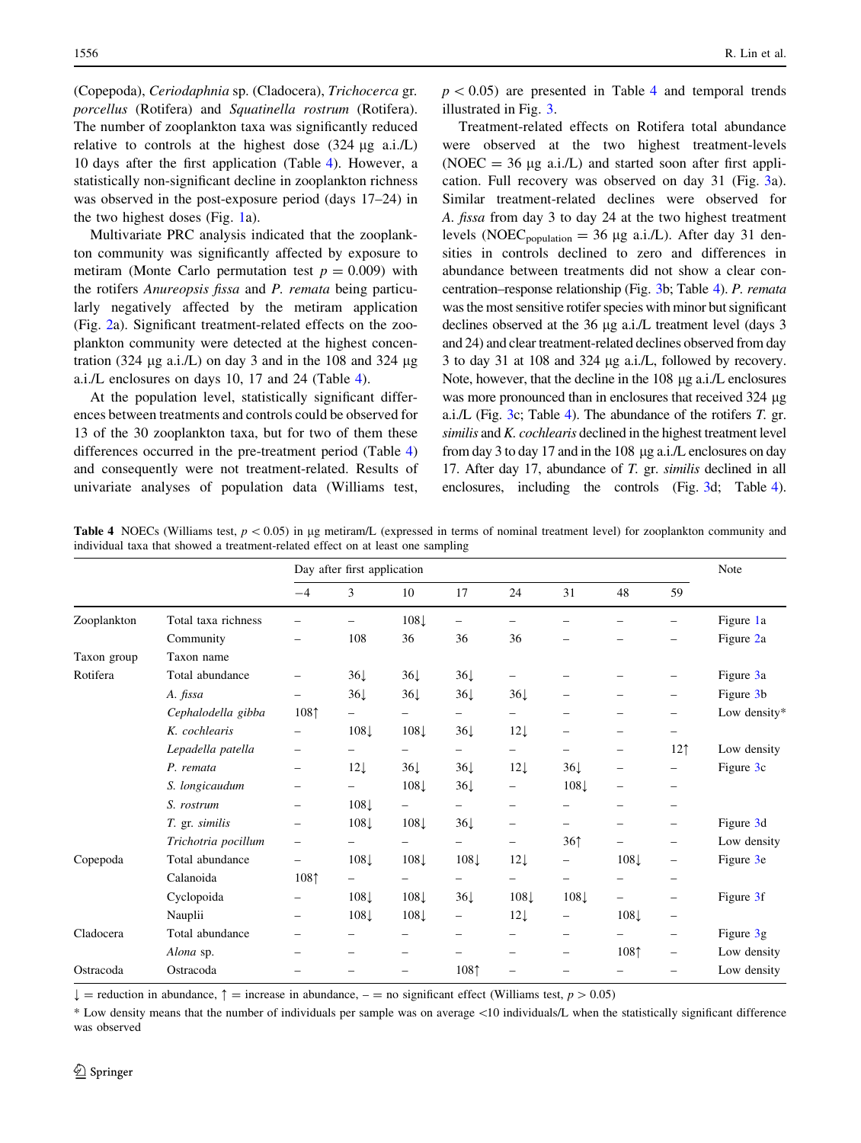<span id="page-6-0"></span>(Copepoda), Ceriodaphnia sp. (Cladocera), Trichocerca gr. porcellus (Rotifera) and Squatinella rostrum (Rotifera). The number of zooplankton taxa was significantly reduced relative to controls at the highest dose  $(324 \mu g \text{ a.i.}/L)$ 10 days after the first application (Table 4). However, a statistically non-significant decline in zooplankton richness was observed in the post-exposure period (days 17–24) in the two highest doses (Fig. [1](#page-7-0)a).

Multivariate PRC analysis indicated that the zooplankton community was significantly affected by exposure to metiram (Monte Carlo permutation test  $p = 0.009$ ) with the rotifers Anureopsis fissa and P. remata being particularly negatively affected by the metiram application (Fig. [2](#page-8-0)a). Significant treatment-related effects on the zooplankton community were detected at the highest concentration (324  $\mu$ g a.i./L) on day 3 and in the 108 and 324  $\mu$ g a.i./L enclosures on days 10, 17 and 24 (Table 4).

At the population level, statistically significant differences between treatments and controls could be observed for 13 of the 30 zooplankton taxa, but for two of them these differences occurred in the pre-treatment period (Table 4) and consequently were not treatment-related. Results of univariate analyses of population data (Williams test,

 $p<0.05$  are presented in Table 4 and temporal trends illustrated in Fig. [3](#page-9-0).

Treatment-related effects on Rotifera total abundance were observed at the two highest treatment-levels (NOEC =  $36 \mu$ g a.i./L) and started soon after first application. Full recovery was observed on day 31 (Fig. [3a](#page-9-0)). Similar treatment-related declines were observed for A. fissa from day 3 to day 24 at the two highest treatment levels (NOEC<sub>population</sub> = 36 µg a.i./L). After day 31 densities in controls declined to zero and differences in abundance between treatments did not show a clear concentration–response relationship (Fig. [3b](#page-9-0); Table 4). P. remata was the most sensitive rotifer species with minor but significant declines observed at the 36 µg a.i./L treatment level (days 3 and 24) and clear treatment-related declines observed from day 3 to day 31 at 108 and 324 lg a.i./L, followed by recovery. Note, however, that the decline in the 108 µg a.i./L enclosures was more pronounced than in enclosures that received 324 µg a.i./L (Fig. [3c](#page-9-0); Table 4). The abundance of the rotifers T. gr. similis and K. cochlearis declined in the highest treatment level from day 3 to day 17 and in the 108 µg a.i./L enclosures on day 17. After day 17, abundance of T. gr. similis declined in all enclosures, including the controls (Fig. [3d](#page-9-0); Table 4).

**Table 4** NOECs (Williams test,  $p < 0.05$ ) in µg metiram/L (expressed in terms of nominal treatment level) for zooplankton community and individual taxa that showed a treatment-related effect on at least one sampling

|             |                     |                          | Day after first application |                          |                          |                 |                          |                          |                          |              |  |
|-------------|---------------------|--------------------------|-----------------------------|--------------------------|--------------------------|-----------------|--------------------------|--------------------------|--------------------------|--------------|--|
|             |                     | $-4$                     | 3                           | 10                       | 17                       | 24              | 31                       | 48                       | 59                       |              |  |
| Zooplankton | Total taxa richness |                          |                             | $108\downarrow$          | $\qquad \qquad -$        | -               |                          |                          |                          | Figure 1a    |  |
|             | Community           | $\overline{\phantom{0}}$ | 108                         | 36                       | 36                       | 36              |                          |                          | $\overline{\phantom{0}}$ | Figure 2a    |  |
| Taxon group | Taxon name          |                          |                             |                          |                          |                 |                          |                          |                          |              |  |
| Rotifera    | Total abundance     |                          | $36\downarrow$              | $36\downarrow$           | $36\downarrow$           |                 |                          |                          |                          | Figure 3a    |  |
|             | A. fissa            | $\overline{\phantom{m}}$ | $36\downarrow$              | $36\downarrow$           | $36\downarrow$           | $36\downarrow$  |                          | -                        | -                        | Figure 3b    |  |
|             | Cephalodella gibba  | 1081                     | -                           |                          | -                        | -               |                          | -                        |                          | Low density* |  |
|             | K. cochlearis       |                          | $108\downarrow$             | $108\downarrow$          | $36\downarrow$           | $12\downarrow$  |                          | -                        | $\overline{\phantom{0}}$ |              |  |
|             | Lepadella patella   |                          |                             |                          | —                        | -               |                          | -                        | 12 <sup>†</sup>          | Low density  |  |
|             | P. remata           | $\overline{\phantom{0}}$ | $12\downarrow$              | 36 <sub>l</sub>          | $36\downarrow$           | $12\downarrow$  | $36\downarrow$           | $\overline{\phantom{0}}$ |                          | Figure 3c    |  |
|             | S. longicaudum      | $\qquad \qquad -$        | $\overline{\phantom{0}}$    | $108\downarrow$          | $36\downarrow$           | -               | $108\downarrow$          | $\qquad \qquad -$        | -                        |              |  |
|             | S. rostrum          | -                        | $108\downarrow$             | -                        | $\overline{\phantom{0}}$ | -               |                          | $\overline{\phantom{0}}$ |                          |              |  |
|             | T. gr. similis      | -                        | $108\downarrow$             | $108\downarrow$          | $36\downarrow$           | -               | $\overline{\phantom{0}}$ | $\overline{\phantom{0}}$ | $\overline{\phantom{0}}$ | Figure 3d    |  |
|             | Trichotria pocillum | -                        |                             |                          | —                        | -               | 36 <sup>†</sup>          |                          | -                        | Low density  |  |
| Copepoda    | Total abundance     |                          | $108\downarrow$             | $108\downarrow$          | $108\downarrow$          | $12\downarrow$  | $\qquad \qquad -$        | $108\downarrow$          | $\overline{\phantom{0}}$ | Figure 3e    |  |
|             | Calanoida           | 1081                     | -                           | $\overline{\phantom{0}}$ | $\overline{\phantom{0}}$ | -               | $\overline{\phantom{0}}$ | -                        | -                        |              |  |
|             | Cyclopoida          | $\qquad \qquad -$        | $108\downarrow$             | 108 <sup>L</sup>         | $36\downarrow$           | $108\downarrow$ | $108\downarrow$          |                          | -                        | Figure 3f    |  |
|             | Nauplii             |                          | $108\downarrow$             | $108\downarrow$          | $\overline{\phantom{0}}$ | $12\downarrow$  |                          | $108\downarrow$          | $\overline{\phantom{0}}$ |              |  |
| Cladocera   | Total abundance     |                          |                             |                          |                          |                 |                          | -                        | $\overline{\phantom{0}}$ | Figure 3g    |  |
|             | Alona sp.           |                          |                             |                          |                          |                 |                          | 108 <sup>†</sup>         | -                        | Low density  |  |
| Ostracoda   | Ostracoda           | -                        |                             |                          | 1081                     | -               |                          |                          |                          | Low density  |  |

 $\downarrow$  = reduction in abundance,  $\uparrow$  = increase in abundance,  $-$  = no significant effect (Williams test,  $p > 0.05$ )

\* Low density means that the number of individuals per sample was on average\10 individuals/L when the statistically significant difference was observed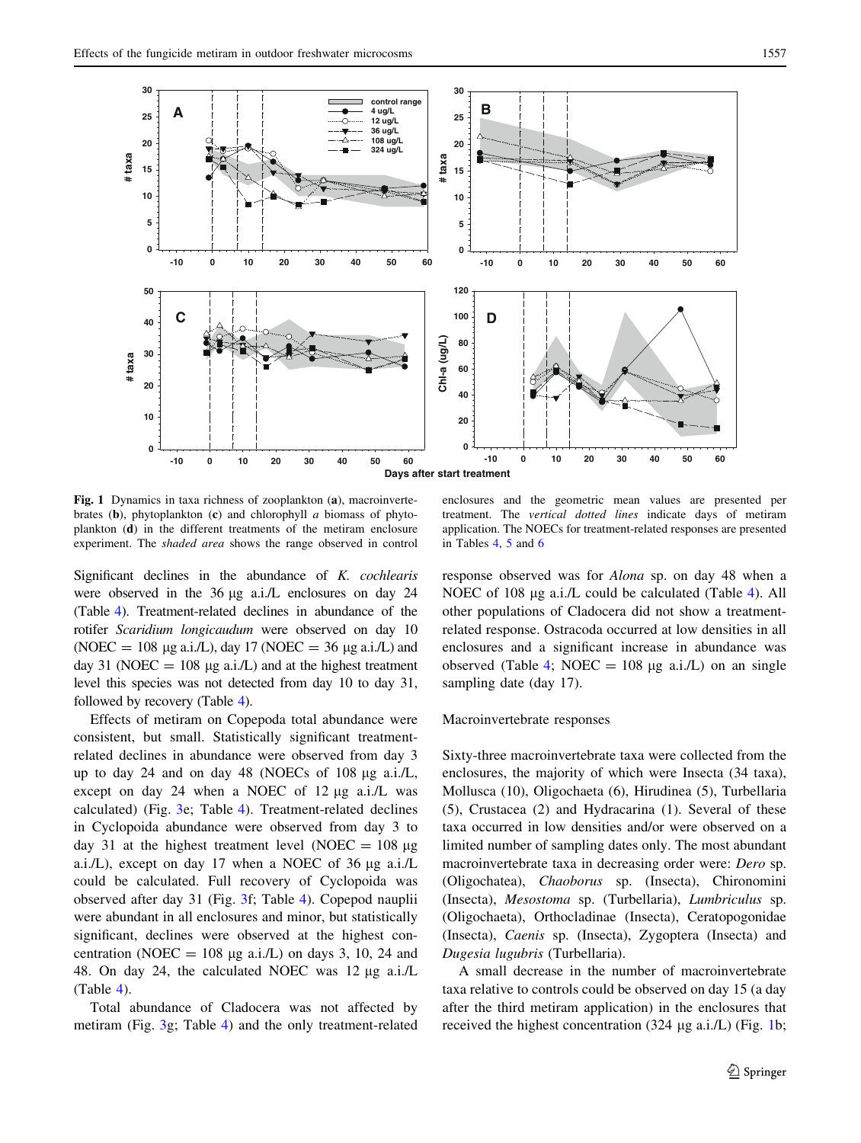<span id="page-7-0"></span>

Fig. 1 Dynamics in taxa richness of zooplankton (a), macroinvertebrates (b), phytoplankton (c) and chlorophyll  $a$  biomass of phytoplankton (d) in the different treatments of the metiram enclosure experiment. The shaded area shows the range observed in control

Significant declines in the abundance of K. cochlearis were observed in the 36 µg a.i./L enclosures on day 24 (Table [4](#page-6-0)). Treatment-related declines in abundance of the rotifer Scaridium longicaudum were observed on day 10 (NOEC = 108  $\mu$ g a.i./L), day 17 (NOEC = 36  $\mu$ g a.i./L) and day 31 (NOEC  $= 108 \text{ µg a.i.}/L$ ) and at the highest treatment level this species was not detected from day 10 to day 31, followed by recovery (Table [4](#page-6-0)).

Effects of metiram on Copepoda total abundance were consistent, but small. Statistically significant treatmentrelated declines in abundance were observed from day 3 up to day 24 and on day 48 (NOECs of 108 µg a.i./L, except on day 24 when a NOEC of  $12 \mu$ g a.i./L was calculated) (Fig. [3e](#page-9-0); Table [4\)](#page-6-0). Treatment-related declines in Cyclopoida abundance were observed from day 3 to day 31 at the highest treatment level (NOEC =  $108 \mu$ g a.i./L), except on day 17 when a NOEC of 36  $\mu$ g a.i./L could be calculated. Full recovery of Cyclopoida was observed after day 31 (Fig. [3](#page-9-0)f; Table [4](#page-6-0)). Copepod nauplii were abundant in all enclosures and minor, but statistically significant, declines were observed at the highest concentration (NOEC =  $108 \mu g$  a.i./L) on days 3, 10, 24 and 48. On day 24, the calculated NOEC was  $12 \mu$ g a.i./L (Table [4](#page-6-0)).

Total abundance of Cladocera was not affected by metiram (Fig. [3g](#page-9-0); Table [4](#page-6-0)) and the only treatment-related

enclosures and the geometric mean values are presented per treatment. The vertical dotted lines indicate days of metiram application. The NOECs for treatment-related responses are presented in Tables [4](#page-6-0), [5](#page-10-0) and [6](#page-11-0)

response observed was for Alona sp. on day 48 when a NOEC of 108 µg a.i./L could be calculated (Table [4](#page-6-0)). All other populations of Cladocera did not show a treatmentrelated response. Ostracoda occurred at low densities in all enclosures and a significant increase in abundance was observed (Table [4](#page-6-0); NOEC = 108  $\mu$ g a.i./L) on an single sampling date (day 17).

#### Macroinvertebrate responses

Sixty-three macroinvertebrate taxa were collected from the enclosures, the majority of which were Insecta (34 taxa), Mollusca (10), Oligochaeta (6), Hirudinea (5), Turbellaria (5), Crustacea (2) and Hydracarina (1). Several of these taxa occurred in low densities and/or were observed on a limited number of sampling dates only. The most abundant macroinvertebrate taxa in decreasing order were: Dero sp. (Oligochatea), Chaoborus sp. (Insecta), Chironomini (Insecta), Mesostoma sp. (Turbellaria), Lumbriculus sp. (Oligochaeta), Orthocladinae (Insecta), Ceratopogonidae (Insecta), Caenis sp. (Insecta), Zygoptera (Insecta) and Dugesia lugubris (Turbellaria).

A small decrease in the number of macroinvertebrate taxa relative to controls could be observed on day 15 (a day after the third metiram application) in the enclosures that received the highest concentration  $(324 \mu g a.i.L)$  (Fig. 1b;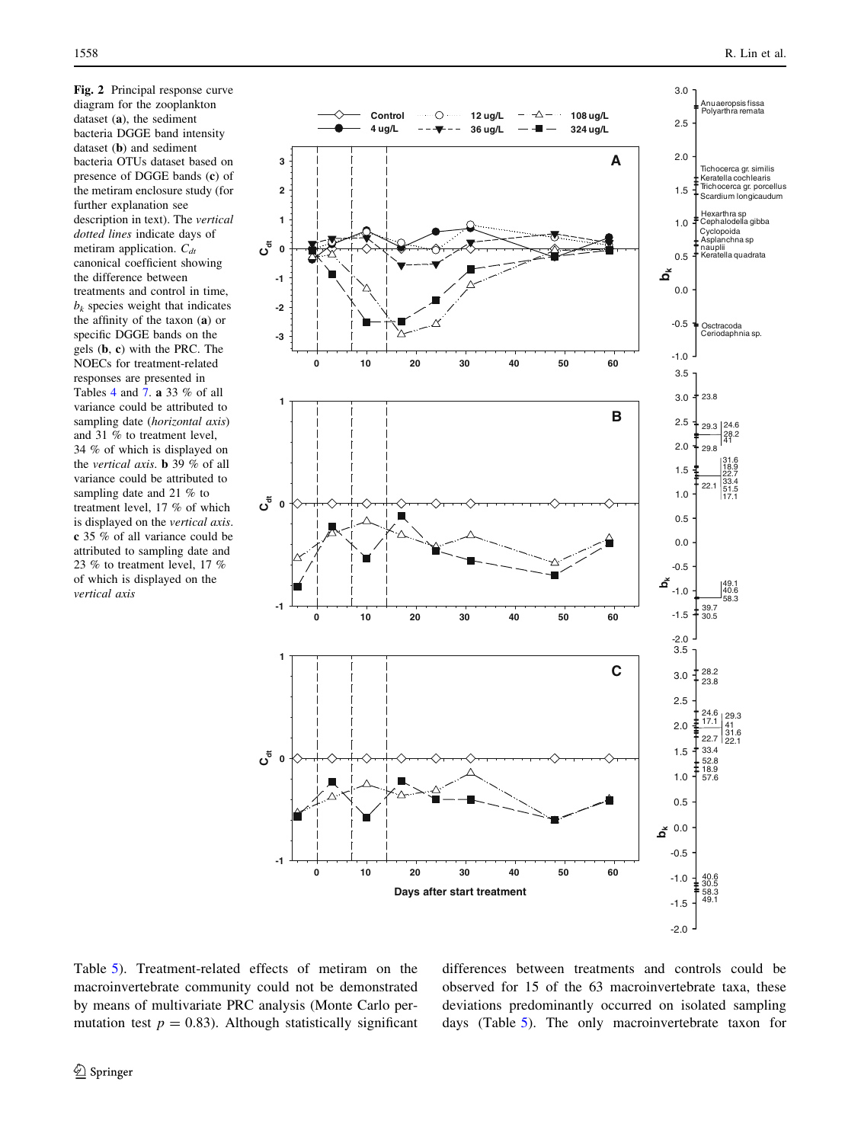<span id="page-8-0"></span>Fig. 2 Principal response curve diagram for the zooplankton dataset (a), the sediment bacteria DGGE band intensity dataset (b) and sediment bacteria OTUs dataset based on presence of DGGE bands (c) of the metiram enclosure study (for further explanation see description in text). The vertical dotted lines indicate days of metiram application.  $C_{dt}$ canonical coefficient showing the difference between treatments and control in time,  $b_k$  species weight that indicates the affinity of the taxon (a) or specific DGGE bands on the gels (b, c) with the PRC. The NOECs for treatment-related responses are presented in Tables [4](#page-6-0) and [7.](#page-14-0) a 33 % of all variance could be attributed to sampling date (horizontal axis) and 31 % to treatment level, 34 % of which is displayed on the vertical axis. b 39 % of all variance could be attributed to sampling date and 21 % to treatment level, 17 % of which is displayed on the vertical axis. c 35 % of all variance could be attributed to sampling date and 23 % to treatment level, 17 % of which is displayed on the vertical axis



Table [5](#page-10-0)). Treatment-related effects of metiram on the macroinvertebrate community could not be demonstrated by means of multivariate PRC analysis (Monte Carlo permutation test  $p = 0.83$ . Although statistically significant differences between treatments and controls could be observed for 15 of the 63 macroinvertebrate taxa, these deviations predominantly occurred on isolated sampling days (Table [5](#page-10-0)). The only macroinvertebrate taxon for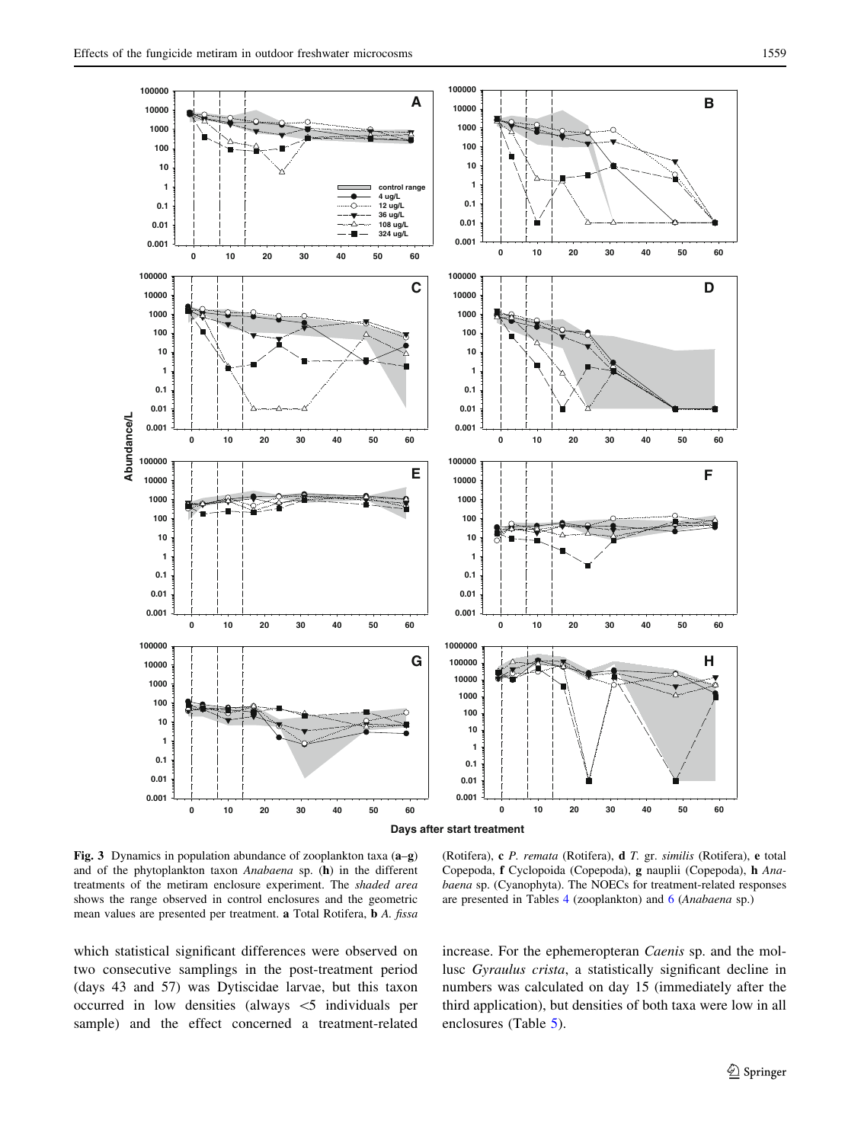<span id="page-9-0"></span>

Fig. 3 Dynamics in population abundance of zooplankton taxa (a–g) and of the phytoplankton taxon Anabaena sp. (h) in the different treatments of the metiram enclosure experiment. The shaded area shows the range observed in control enclosures and the geometric mean values are presented per treatment. a Total Rotifera, b A. fissa

(Rotifera), c P. remata (Rotifera), d T. gr. similis (Rotifera), e total Copepoda, f Cyclopoida (Copepoda), g nauplii (Copepoda), h Anabaena sp. (Cyanophyta). The NOECs for treatment-related responses are presented in Tables [4](#page-6-0) (zooplankton) and [6](#page-11-0) (Anabaena sp.)

which statistical significant differences were observed on two consecutive samplings in the post-treatment period (days 43 and 57) was Dytiscidae larvae, but this taxon occurred in low densities (always  $\lt$ 5 individuals per sample) and the effect concerned a treatment-related increase. For the ephemeropteran *Caenis* sp. and the mollusc Gyraulus crista, a statistically significant decline in numbers was calculated on day 15 (immediately after the third application), but densities of both taxa were low in all enclosures (Table [5](#page-10-0)).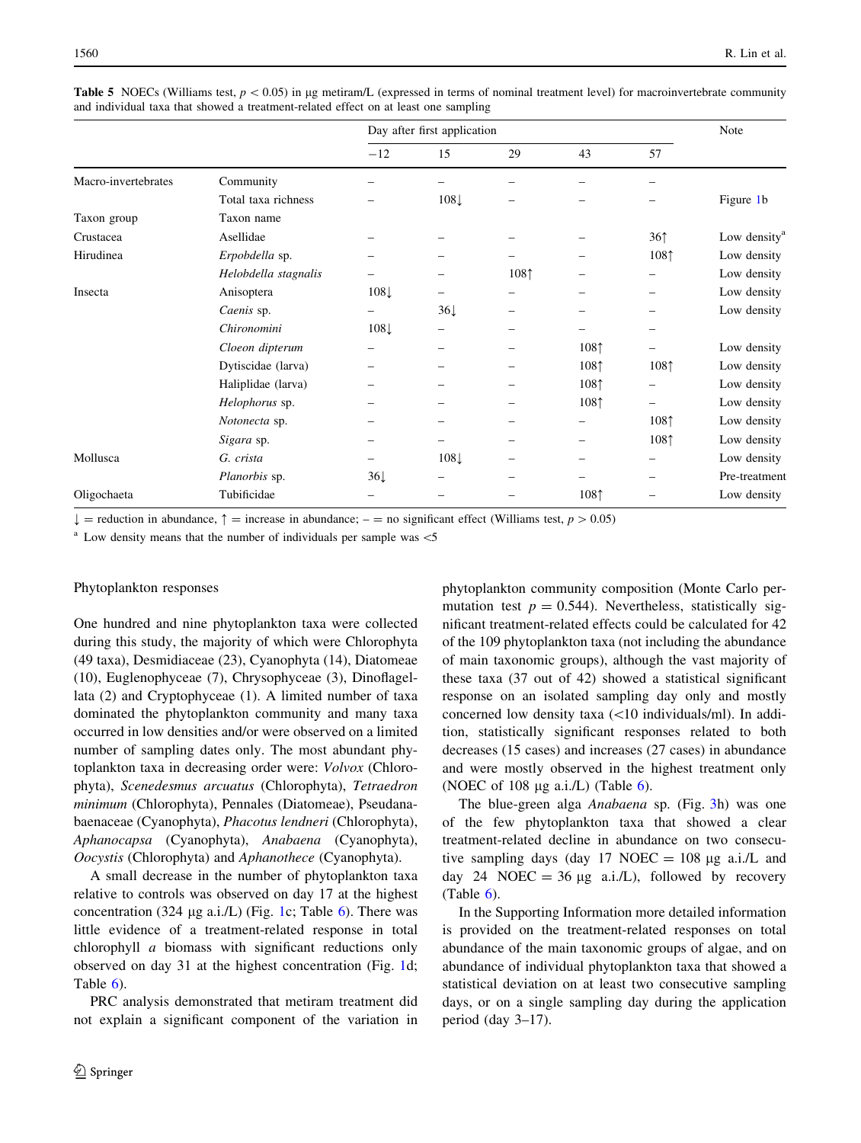|                     |                      |                 | Day after first application |      |                          |                 |                          |  |  |
|---------------------|----------------------|-----------------|-----------------------------|------|--------------------------|-----------------|--------------------------|--|--|
|                     |                      | $-12$           | 15                          | 29   | 43                       | 57              |                          |  |  |
| Macro-invertebrates | Community            |                 |                             |      |                          |                 |                          |  |  |
|                     | Total taxa richness  |                 | $108\downarrow$             |      |                          |                 | Figure 1b                |  |  |
| Taxon group         | Taxon name           |                 |                             |      |                          |                 |                          |  |  |
| Crustacea           | Asellidae            |                 |                             |      |                          | 36 <sup>†</sup> | Low density <sup>a</sup> |  |  |
| Hirudinea           | Erpobdella sp.       |                 |                             |      | -                        | 1081            | Low density              |  |  |
|                     | Helobdella stagnalis |                 |                             | 1081 |                          |                 | Low density              |  |  |
| Insecta             | Anisoptera           | $108\downarrow$ |                             |      |                          |                 | Low density              |  |  |
|                     | Caenis sp.           | -               | $36\downarrow$              |      | -                        |                 | Low density              |  |  |
|                     | Chironomini          | $108\downarrow$ | -                           |      | $\overline{\phantom{0}}$ |                 |                          |  |  |
|                     | Cloeon dipterum      | -               | -                           |      | 1081                     |                 | Low density              |  |  |
|                     | Dytiscidae (larva)   |                 |                             |      | 1081                     | 1081            | Low density              |  |  |
|                     | Haliplidae (larva)   | -               |                             |      | 1081                     |                 | Low density              |  |  |
|                     | Helophorus sp.       |                 |                             |      | 1081                     |                 | Low density              |  |  |
|                     | Notonecta sp.        |                 | -                           |      | -                        | 1081            | Low density              |  |  |
|                     | Sigara sp.           |                 | -                           |      | -                        | 1081            | Low density              |  |  |
| Mollusca            | G. crista            |                 | $108\downarrow$             |      |                          |                 | Low density              |  |  |
|                     | Planorbis sp.        | $36\downarrow$  |                             |      |                          |                 | Pre-treatment            |  |  |
| Oligochaeta         | Tubificidae          |                 |                             |      | 1081                     |                 | Low density              |  |  |

<span id="page-10-0"></span>**Table 5** NOECs (Williams test,  $p < 0.05$ ) in µg metiram/L (expressed in terms of nominal treatment level) for macroinvertebrate community and individual taxa that showed a treatment-related effect on at least one sampling

 $\downarrow$  = reduction in abundance,  $\uparrow$  = increase in abundance; – = no significant effect (Williams test, p > 0.05)

 $a$  Low density means that the number of individuals per sample was  $<$  5

## Phytoplankton responses

One hundred and nine phytoplankton taxa were collected during this study, the majority of which were Chlorophyta (49 taxa), Desmidiaceae (23), Cyanophyta (14), Diatomeae (10), Euglenophyceae (7), Chrysophyceae (3), Dinoflagellata (2) and Cryptophyceae (1). A limited number of taxa dominated the phytoplankton community and many taxa occurred in low densities and/or were observed on a limited number of sampling dates only. The most abundant phytoplankton taxa in decreasing order were: Volvox (Chlorophyta), Scenedesmus arcuatus (Chlorophyta), Tetraedron minimum (Chlorophyta), Pennales (Diatomeae), Pseudanabaenaceae (Cyanophyta), Phacotus lendneri (Chlorophyta), Aphanocapsa (Cyanophyta), Anabaena (Cyanophyta), Oocystis (Chlorophyta) and Aphanothece (Cyanophyta).

A small decrease in the number of phytoplankton taxa relative to controls was observed on day 17 at the highest concentration (324  $\mu$ g a.i./L) (Fig. [1c](#page-7-0); Table [6\)](#page-11-0). There was little evidence of a treatment-related response in total chlorophyll a biomass with significant reductions only observed on day 31 at the highest concentration (Fig. [1](#page-7-0)d; Table [6](#page-11-0)).

PRC analysis demonstrated that metiram treatment did not explain a significant component of the variation in

phytoplankton community composition (Monte Carlo permutation test  $p = 0.544$ ). Nevertheless, statistically significant treatment-related effects could be calculated for 42 of the 109 phytoplankton taxa (not including the abundance of main taxonomic groups), although the vast majority of these taxa (37 out of 42) showed a statistical significant response on an isolated sampling day only and mostly concerned low density taxa  $\left($ <10 individuals/ml). In addition, statistically significant responses related to both decreases (15 cases) and increases (27 cases) in abundance and were mostly observed in the highest treatment only (NOEC of 108  $\mu$ g a.i./L) (Table [6](#page-11-0)).

The blue-green alga Anabaena sp. (Fig. [3](#page-9-0)h) was one of the few phytoplankton taxa that showed a clear treatment-related decline in abundance on two consecutive sampling days (day 17 NOEC =  $108 \mu$ g a.i./L and day 24 NOEC = 36  $\mu$ g a.i./L), followed by recovery (Table  $6$ ).

In the Supporting Information more detailed information is provided on the treatment-related responses on total abundance of the main taxonomic groups of algae, and on abundance of individual phytoplankton taxa that showed a statistical deviation on at least two consecutive sampling days, or on a single sampling day during the application period (day 3–17).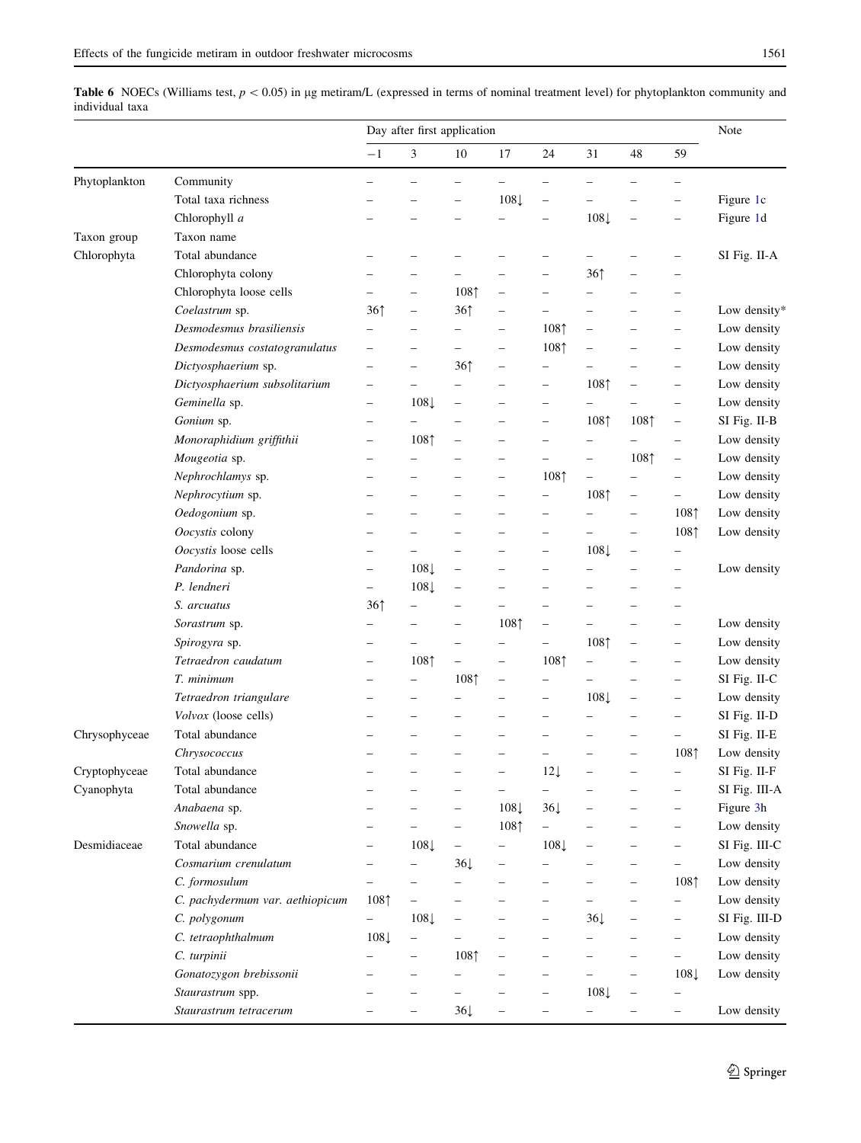<span id="page-11-0"></span>Table 6 NOECs (Williams test,  $p < 0.05$ ) in µg metiram/L (expressed in terms of nominal treatment level) for phytoplankton community and individual taxa

|               |                                 | Day after first application |                          |                          |                          |                          |                          |                          |                          | Note          |
|---------------|---------------------------------|-----------------------------|--------------------------|--------------------------|--------------------------|--------------------------|--------------------------|--------------------------|--------------------------|---------------|
|               |                                 | $-1\,$                      | 3                        | 10                       | 17                       | 24                       | 31                       | 48                       | 59                       |               |
| Phytoplankton | Community                       |                             |                          |                          |                          |                          |                          |                          |                          |               |
|               | Total taxa richness             |                             |                          |                          | $108\downarrow$          | $\overline{\phantom{0}}$ |                          |                          | -                        | Figure 1c     |
|               | Chlorophyll a                   |                             |                          | -                        |                          | $\overline{\phantom{0}}$ | $108\downarrow$          | $\overline{\phantom{0}}$ | $\overline{\phantom{0}}$ | Figure 1d     |
| Taxon group   | Taxon name                      |                             |                          |                          |                          |                          |                          |                          |                          |               |
| Chlorophyta   | Total abundance                 |                             |                          |                          |                          |                          |                          |                          | $\overline{\phantom{0}}$ | SI Fig. II-A  |
|               | Chlorophyta colony              |                             |                          |                          |                          | $\overline{\phantom{0}}$ | 36 <sup>†</sup>          |                          |                          |               |
|               | Chlorophyta loose cells         | -                           | $\overline{\phantom{0}}$ | 1081                     | $\overline{\phantom{0}}$ |                          |                          |                          |                          |               |
|               | Coelastrum sp.                  | 36 <sup>†</sup>             | $\overline{\phantom{0}}$ | 36 <sup>†</sup>          | -                        |                          | -                        |                          | -                        | Low density*  |
|               | Desmodesmus brasiliensis        |                             |                          |                          | -                        | 1081                     | -                        |                          | $\overline{\phantom{0}}$ | Low density   |
|               | Desmodesmus costatogranulatus   | $\overline{\phantom{0}}$    |                          |                          | $\overline{\phantom{0}}$ | 1081                     |                          |                          | -                        | Low density   |
|               | Dictyosphaerium sp.             | $\overline{\phantom{0}}$    | $\overline{\phantom{0}}$ | 36 <sup>†</sup>          | $\overline{\phantom{0}}$ | ÷                        | −                        |                          | $\overline{\phantom{0}}$ | Low density   |
|               | Dictyosphaerium subsolitarium   | $\overline{\phantom{0}}$    |                          |                          |                          | $\overline{\phantom{0}}$ | 1081                     |                          | $\overline{\phantom{0}}$ | Low density   |
|               | Geminella sp.                   | $\overline{\phantom{0}}$    | $108\downarrow$          | $\overline{\phantom{0}}$ |                          | L,                       |                          |                          | $\overline{\phantom{0}}$ | Low density   |
|               | Gonium sp.                      | $\overline{\phantom{0}}$    |                          |                          |                          | $\overline{\phantom{0}}$ | 108 <sup>†</sup>         | 1081                     | $\qquad \qquad -$        | SI Fig. II-B  |
|               | Monoraphidium griffithii        | $\overline{\phantom{0}}$    | 1081                     | ÷                        |                          |                          |                          |                          | $\overline{\phantom{0}}$ | Low density   |
|               | Mougeotia sp.                   | -                           |                          |                          | -                        | -                        | -                        | 1081                     | $\overline{\phantom{0}}$ | Low density   |
|               | Nephrochlamys sp.               |                             |                          |                          | -                        | 1081                     | -                        |                          | -                        | Low density   |
|               | Nephrocytium sp.                |                             |                          |                          | $\overline{\phantom{0}}$ | $\overline{\phantom{0}}$ | 1081                     | $\overline{\phantom{0}}$ | $\overline{\phantom{0}}$ | Low density   |
|               | Oedogonium sp.                  |                             |                          |                          |                          |                          |                          | $\overline{\phantom{0}}$ | 108 <sup>†</sup>         | Low density   |
|               | Oocystis colony                 |                             |                          |                          |                          |                          |                          |                          | 108 <sup>†</sup>         | Low density   |
|               | Oocystis loose cells            | $\overline{\phantom{0}}$    |                          |                          |                          | $\overline{\phantom{0}}$ | $108\downarrow$          | $\overline{\phantom{0}}$ | ▃                        |               |
|               | Pandorina sp.                   | $\overline{\phantom{0}}$    | $108\downarrow$          | $\overline{\phantom{0}}$ |                          | ÷                        |                          |                          | $\overline{\phantom{0}}$ | Low density   |
|               | P. lendneri                     | $\overline{\phantom{0}}$    | $108\downarrow$          | $\overline{\phantom{0}}$ |                          |                          |                          |                          | $\equiv$                 |               |
|               | S. arcuatus                     | 36 <sup>†</sup>             |                          |                          |                          |                          |                          |                          |                          |               |
|               | Sorastrum sp.                   |                             |                          |                          | 1081                     | $\overline{\phantom{0}}$ |                          |                          | -                        | Low density   |
|               | Spirogyra sp.                   | $\overline{\phantom{0}}$    |                          |                          | $\overline{\phantom{0}}$ | $\overline{\phantom{0}}$ | 1081                     |                          | $\overline{\phantom{0}}$ | Low density   |
|               | Tetraedron caudatum             | $\overline{\phantom{0}}$    | 1081                     | $\qquad \qquad -$        | $\overline{\phantom{0}}$ | 1081                     | -                        |                          | $\overline{\phantom{0}}$ | Low density   |
|               | T. minimum                      |                             |                          | 1081                     | $\overline{\phantom{0}}$ | $\overline{\phantom{0}}$ |                          |                          | $\overline{\phantom{0}}$ | SI Fig. II-C  |
|               | Tetraedron triangulare          |                             |                          |                          |                          | $\overline{\phantom{0}}$ | $108\downarrow$          | $\overline{\phantom{0}}$ | $\overline{\phantom{0}}$ | Low density   |
|               | Volvox (loose cells)            |                             |                          |                          |                          |                          |                          |                          | $\overline{\phantom{0}}$ | SI Fig. II-D  |
| Chrysophyceae | Total abundance                 |                             |                          |                          |                          |                          |                          |                          | $\overline{\phantom{0}}$ | SI Fig. II-E  |
|               | Chrysococcus                    |                             |                          |                          |                          |                          |                          |                          | 1081                     | Low density   |
| Cryptophyceae | Total abundance                 |                             |                          |                          |                          | $12\downarrow$           |                          |                          | -                        | SI Fig. II-F  |
| Cyanophyta    | Total abundance                 |                             |                          |                          | $\overline{\phantom{0}}$ | $\overline{\phantom{0}}$ |                          |                          | $\overline{\phantom{0}}$ | SI Fig. III-A |
|               | Anabaena sp.                    |                             |                          | -                        | $108\downarrow$          | $36\downarrow$           | -                        |                          | $\overline{\phantom{0}}$ | Figure 3h     |
|               | Snowella sp.                    | -                           |                          |                          | 1081                     | $\overline{\phantom{0}}$ |                          |                          | $\overline{\phantom{0}}$ | Low density   |
| Desmidiaceae  | Total abundance                 | -                           | $108\downarrow$          | $\qquad \qquad -$        |                          | $108\downarrow$          | -                        |                          | $\overline{\phantom{0}}$ | SI Fig. III-C |
|               | Cosmarium crenulatum            |                             |                          | $36\downarrow$           | $\overline{\phantom{0}}$ | $\overline{\phantom{0}}$ |                          |                          | $\overline{\phantom{0}}$ | Low density   |
|               | C. formosulum                   |                             |                          |                          |                          | -                        |                          | $\overline{\phantom{0}}$ | 108 <sup>†</sup>         | Low density   |
|               | C. pachydermum var. aethiopicum | 108 <sup>†</sup>            | $\qquad \qquad -$        |                          |                          | $\overline{\phantom{0}}$ |                          |                          | $\overline{\phantom{0}}$ | Low density   |
|               | C. polygonum                    | $\overline{\phantom{0}}$    | $108\downarrow$          |                          |                          | -                        | $36\downarrow$           |                          | -                        | SI Fig. III-D |
|               | C. tetraophthalmum              | $108\downarrow$             | $\qquad \qquad -$        |                          |                          | $\overline{\phantom{0}}$ | -                        |                          | $\overline{\phantom{0}}$ | Low density   |
|               | C. turpinii                     |                             | $\overline{\phantom{0}}$ | 1081                     | -                        | -                        |                          | $\qquad \qquad -$        | $\overline{\phantom{0}}$ | Low density   |
|               | Gonatozygon brebissonii         |                             | $\overline{\phantom{0}}$ |                          |                          | $\overline{\phantom{0}}$ | $\overline{\phantom{0}}$ | $\overline{\phantom{0}}$ | $108\downarrow$          | Low density   |
|               | Staurastrum spp.                |                             | -                        | $\overline{\phantom{0}}$ |                          | $\qquad \qquad -$        | $108\downarrow$          | $\qquad \qquad -$        | -                        |               |
|               | Staurastrum tetracerum          |                             | $\overline{\phantom{0}}$ | $36\downarrow$           | $\overline{\phantom{0}}$ | $\overline{\phantom{0}}$ | $\overline{\phantom{0}}$ |                          | $\overline{\phantom{0}}$ | Low density   |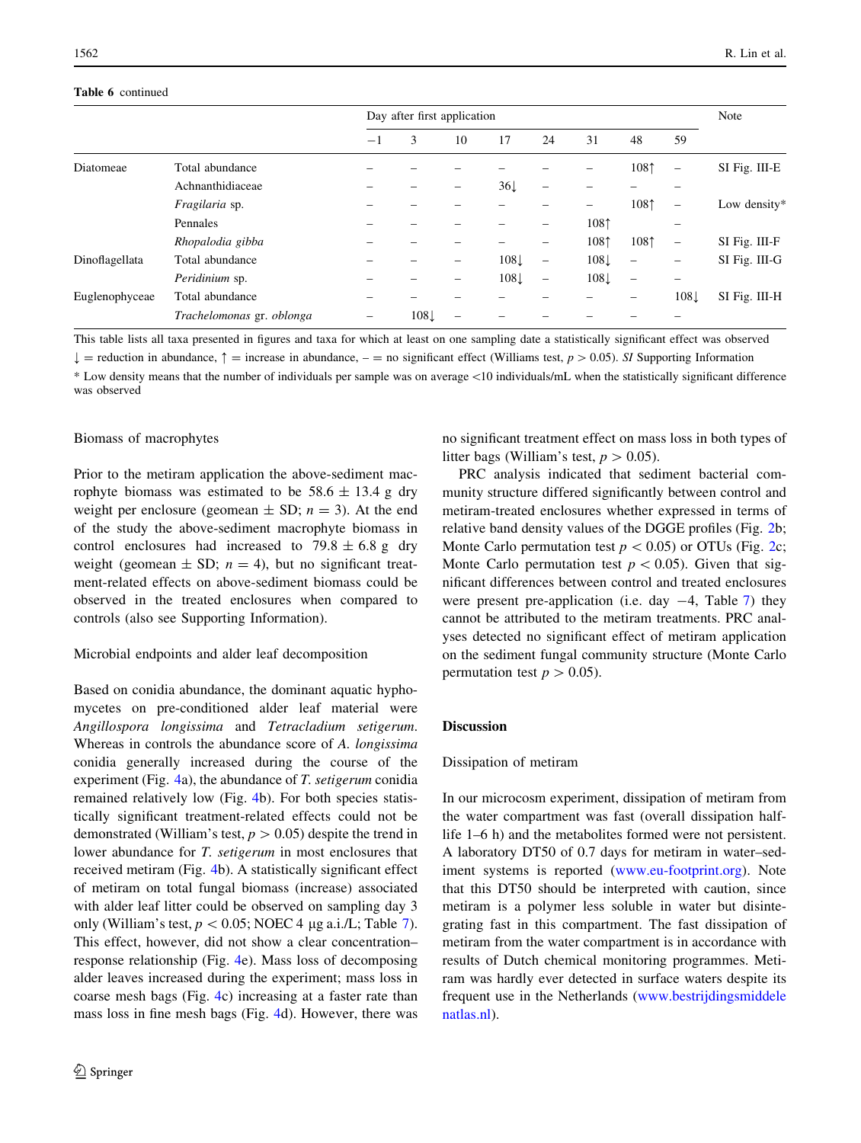# Table 6 continued

|                |                           | Day after first application |                 | Note |                  |                          |                 |                          |                          |               |
|----------------|---------------------------|-----------------------------|-----------------|------|------------------|--------------------------|-----------------|--------------------------|--------------------------|---------------|
|                |                           | $-1$                        | 3               | 10   | 17               | 24                       | 31              | 48                       | 59                       |               |
| Diatomeae      | Total abundance           |                             |                 |      |                  |                          |                 | 1081                     | -                        | SI Fig. III-E |
|                | Achnanthidiaceae          |                             |                 |      | $36\downarrow$   | -                        |                 |                          |                          |               |
|                | Fragilaria sp.            |                             |                 |      |                  |                          | -               | 1081                     | $\overline{\phantom{0}}$ | Low density*  |
|                | Pennales                  |                             |                 |      |                  | -                        | 1081            |                          | -                        |               |
|                | Rhopalodia gibba          |                             |                 |      |                  |                          | 1081            | 1081                     | $\overline{\phantom{0}}$ | SI Fig. III-F |
| Dinoflagellata | Total abundance           |                             |                 |      | $108\downarrow$  | $\overline{\phantom{0}}$ | $108\downarrow$ | $\overline{\phantom{0}}$ |                          | SI Fig. III-G |
|                | Peridinium sp.            |                             |                 |      | 108 <sup>L</sup> | $\overline{\phantom{0}}$ | $108\downarrow$ | $\qquad \qquad -$        |                          |               |
| Euglenophyceae | Total abundance           |                             |                 |      |                  |                          |                 |                          | 108 <sup>L</sup>         | SI Fig. III-H |
|                | Trachelomonas gr. oblonga |                             | $108\downarrow$ |      |                  |                          |                 |                          |                          |               |

This table lists all taxa presented in figures and taxa for which at least on one sampling date a statistically significant effect was observed  $\perp$  = reduction in abundance,  $\uparrow$  = increase in abundance,  $-$  = no significant effect (Williams test,  $p > 0.05$ ). SI Supporting Information \* Low density means that the number of individuals per sample was on average\10 individuals/mL when the statistically significant difference was observed

# Biomass of macrophytes

Prior to the metiram application the above-sediment macrophyte biomass was estimated to be  $58.6 \pm 13.4$  g dry weight per enclosure (geomean  $\pm$  SD;  $n = 3$ ). At the end of the study the above-sediment macrophyte biomass in control enclosures had increased to  $79.8 \pm 6.8$  g dry weight (geomean  $\pm$  SD;  $n = 4$ ), but no significant treatment-related effects on above-sediment biomass could be observed in the treated enclosures when compared to controls (also see Supporting Information).

## Microbial endpoints and alder leaf decomposition

Based on conidia abundance, the dominant aquatic hyphomycetes on pre-conditioned alder leaf material were Angillospora longissima and Tetracladium setigerum. Whereas in controls the abundance score of A. longissima conidia generally increased during the course of the experiment (Fig. [4a](#page-13-0)), the abundance of T. setigerum conidia remained relatively low (Fig. [4](#page-13-0)b). For both species statistically significant treatment-related effects could not be demonstrated (William's test,  $p > 0.05$ ) despite the trend in lower abundance for *T. setigerum* in most enclosures that received metiram (Fig. [4b](#page-13-0)). A statistically significant effect of metiram on total fungal biomass (increase) associated with alder leaf litter could be observed on sampling day 3 only (William's test,  $p < 0.05$ ; NOEC 4 µg a.i./L; Table [7](#page-14-0)). This effect, however, did not show a clear concentration– response relationship (Fig. [4](#page-13-0)e). Mass loss of decomposing alder leaves increased during the experiment; mass loss in coarse mesh bags (Fig. [4c](#page-13-0)) increasing at a faster rate than mass loss in fine mesh bags (Fig. [4](#page-13-0)d). However, there was no significant treatment effect on mass loss in both types of litter bags (William's test,  $p > 0.05$ ).

PRC analysis indicated that sediment bacterial community structure differed significantly between control and metiram-treated enclosures whether expressed in terms of relative band density values of the DGGE profiles (Fig. [2](#page-8-0)b; Monte Carlo permutation test  $p < 0.05$ ) or OTUs (Fig. [2c](#page-8-0); Monte Carlo permutation test  $p < 0.05$ ). Given that significant differences between control and treated enclosures were present pre-application (i.e. day  $-4$ , Table [7](#page-14-0)) they cannot be attributed to the metiram treatments. PRC analyses detected no significant effect of metiram application on the sediment fungal community structure (Monte Carlo permutation test  $p > 0.05$ .

## Discussion

# Dissipation of metiram

In our microcosm experiment, dissipation of metiram from the water compartment was fast (overall dissipation halflife 1–6 h) and the metabolites formed were not persistent. A laboratory DT50 of 0.7 days for metiram in water–sediment systems is reported ([www.eu-footprint.org\)](http://www.eu-footprint.org). Note that this DT50 should be interpreted with caution, since metiram is a polymer less soluble in water but disintegrating fast in this compartment. The fast dissipation of metiram from the water compartment is in accordance with results of Dutch chemical monitoring programmes. Metiram was hardly ever detected in surface waters despite its frequent use in the Netherlands [\(www.bestrijdingsmiddele](http://www.bestrijdingsmiddelenatlas.nl) [natlas.nl\)](http://www.bestrijdingsmiddelenatlas.nl).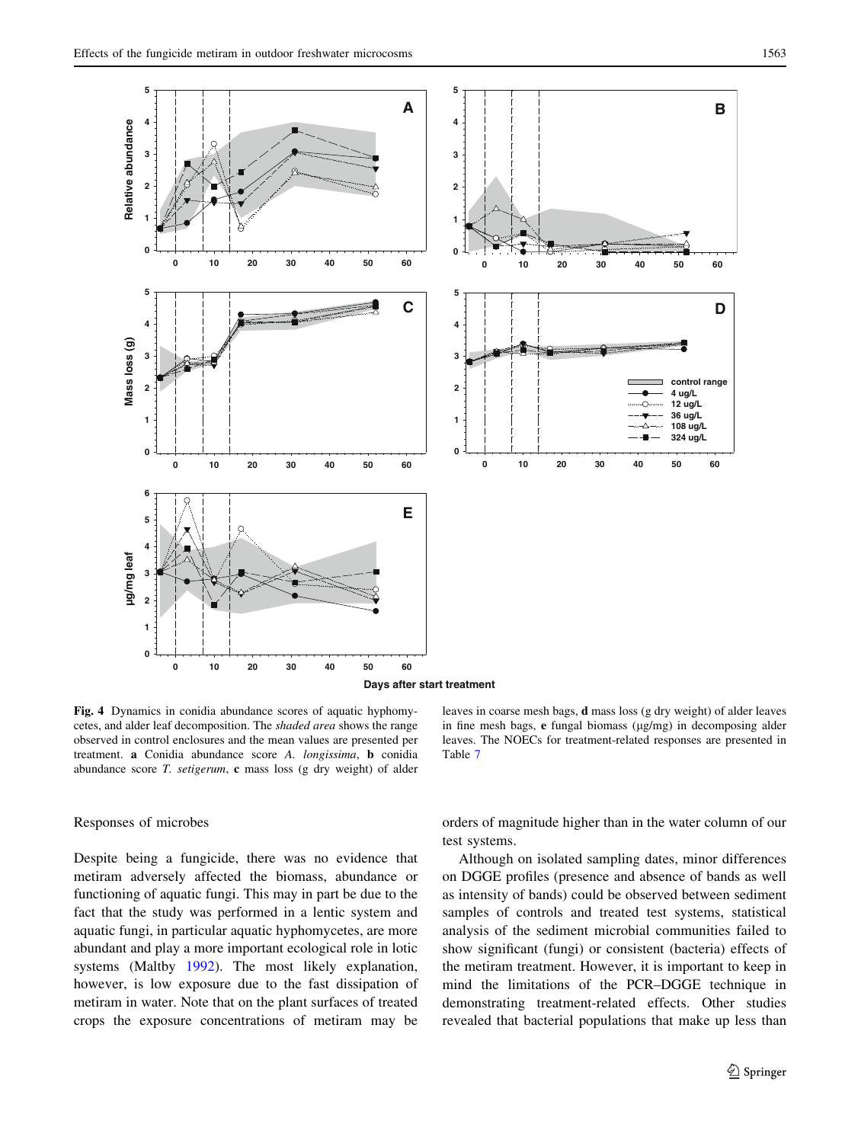<span id="page-13-0"></span>

Fig. 4 Dynamics in conidia abundance scores of aquatic hyphomycetes, and alder leaf decomposition. The shaded area shows the range observed in control enclosures and the mean values are presented per treatment. a Conidia abundance score A. longissima, b conidia abundance score  $T$ . setigerum,  $c$  mass loss (g dry weight) of alder

leaves in coarse mesh bags, d mass loss (g dry weight) of alder leaves in fine mesh bags,  $e$  fungal biomass ( $\mu$ g/mg) in decomposing alder leaves. The NOECs for treatment-related responses are presented in Table [7](#page-14-0)

#### Responses of microbes

Despite being a fungicide, there was no evidence that metiram adversely affected the biomass, abundance or functioning of aquatic fungi. This may in part be due to the fact that the study was performed in a lentic system and aquatic fungi, in particular aquatic hyphomycetes, are more abundant and play a more important ecological role in lotic systems (Maltby [1992\)](#page-18-0). The most likely explanation, however, is low exposure due to the fast dissipation of metiram in water. Note that on the plant surfaces of treated crops the exposure concentrations of metiram may be orders of magnitude higher than in the water column of our test systems.

Although on isolated sampling dates, minor differences on DGGE profiles (presence and absence of bands as well as intensity of bands) could be observed between sediment samples of controls and treated test systems, statistical analysis of the sediment microbial communities failed to show significant (fungi) or consistent (bacteria) effects of the metiram treatment. However, it is important to keep in mind the limitations of the PCR–DGGE technique in demonstrating treatment-related effects. Other studies revealed that bacterial populations that make up less than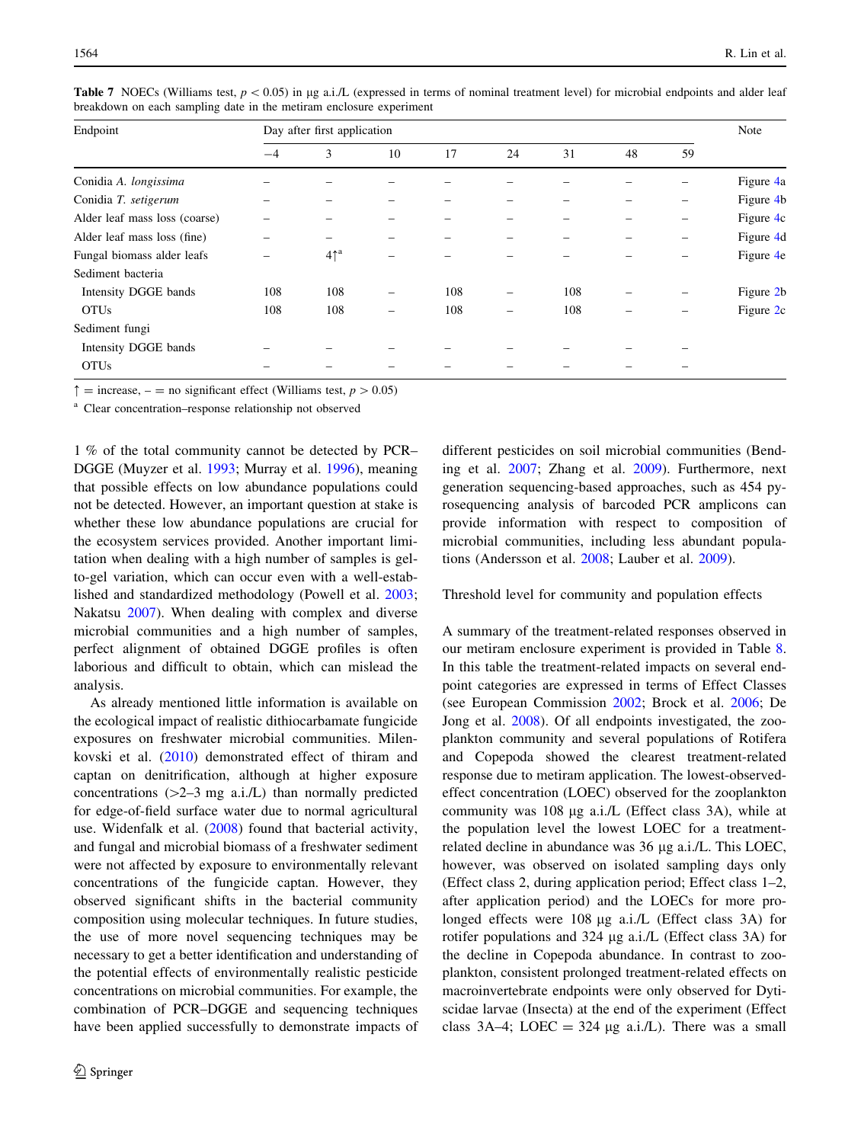| Endpoint                      |      | Day after first application |    |     |    |     |    |    |           |  |  |
|-------------------------------|------|-----------------------------|----|-----|----|-----|----|----|-----------|--|--|
|                               | $-4$ | 3                           | 10 | 17  | 24 | 31  | 48 | 59 |           |  |  |
| Conidia A. longissima         |      |                             |    |     |    |     |    |    | Figure 4a |  |  |
| Conidia T. setigerum          |      |                             |    |     |    |     |    |    | Figure 4b |  |  |
| Alder leaf mass loss (coarse) |      |                             |    |     |    |     |    |    | Figure 4c |  |  |
| Alder leaf mass loss (fine)   |      |                             |    |     |    |     |    |    | Figure 4d |  |  |
| Fungal biomass alder leafs    |      | 4 <sup>1</sup>              |    |     |    |     |    |    | Figure 4e |  |  |
| Sediment bacteria             |      |                             |    |     |    |     |    |    |           |  |  |
| Intensity DGGE bands          | 108  | 108                         | -  | 108 |    | 108 |    |    | Figure 2b |  |  |
| <b>OTUs</b>                   | 108  | 108                         |    | 108 |    | 108 |    |    | Figure 2c |  |  |
| Sediment fungi                |      |                             |    |     |    |     |    |    |           |  |  |
| Intensity DGGE bands          |      |                             |    |     |    |     |    |    |           |  |  |
| <b>OTUs</b>                   |      |                             |    |     |    |     |    |    |           |  |  |

<span id="page-14-0"></span>**Table 7** NOECs (Williams test,  $p < 0.05$ ) in µg a.i./L (expressed in terms of nominal treatment level) for microbial endpoints and alder leaf breakdown on each sampling date in the metiram enclosure experiment

 $\uparrow$  = increase, – = no significant effect (Williams test,  $p > 0.05$ )

<sup>a</sup> Clear concentration–response relationship not observed

1 % of the total community cannot be detected by PCR– DGGE (Muyzer et al. [1993;](#page-18-0) Murray et al. [1996\)](#page-18-0), meaning that possible effects on low abundance populations could not be detected. However, an important question at stake is whether these low abundance populations are crucial for the ecosystem services provided. Another important limitation when dealing with a high number of samples is gelto-gel variation, which can occur even with a well-established and standardized methodology (Powell et al. [2003](#page-18-0); Nakatsu [2007](#page-18-0)). When dealing with complex and diverse microbial communities and a high number of samples, perfect alignment of obtained DGGE profiles is often laborious and difficult to obtain, which can mislead the analysis.

As already mentioned little information is available on the ecological impact of realistic dithiocarbamate fungicide exposures on freshwater microbial communities. Milenkovski et al. ([2010\)](#page-18-0) demonstrated effect of thiram and captan on denitrification, although at higher exposure concentrations  $(>=2-3$  mg a.i./L) than normally predicted for edge-of-field surface water due to normal agricultural use. Widenfalk et al. ([2008\)](#page-19-0) found that bacterial activity, and fungal and microbial biomass of a freshwater sediment were not affected by exposure to environmentally relevant concentrations of the fungicide captan. However, they observed significant shifts in the bacterial community composition using molecular techniques. In future studies, the use of more novel sequencing techniques may be necessary to get a better identification and understanding of the potential effects of environmentally realistic pesticide concentrations on microbial communities. For example, the combination of PCR–DGGE and sequencing techniques have been applied successfully to demonstrate impacts of different pesticides on soil microbial communities (Bending et al. [2007;](#page-17-0) Zhang et al. [2009](#page-19-0)). Furthermore, next generation sequencing-based approaches, such as 454 pyrosequencing analysis of barcoded PCR amplicons can provide information with respect to composition of microbial communities, including less abundant populations (Andersson et al. [2008;](#page-17-0) Lauber et al. [2009](#page-18-0)).

Threshold level for community and population effects

A summary of the treatment-related responses observed in our metiram enclosure experiment is provided in Table [8.](#page-15-0) In this table the treatment-related impacts on several endpoint categories are expressed in terms of Effect Classes (see European Commission [2002](#page-18-0); Brock et al. [2006](#page-17-0); De Jong et al. [2008\)](#page-18-0). Of all endpoints investigated, the zooplankton community and several populations of Rotifera and Copepoda showed the clearest treatment-related response due to metiram application. The lowest-observedeffect concentration (LOEC) observed for the zooplankton community was 108 µg a.i./L (Effect class 3A), while at the population level the lowest LOEC for a treatmentrelated decline in abundance was 36 μg a.i./L. This LOEC, however, was observed on isolated sampling days only (Effect class 2, during application period; Effect class 1–2, after application period) and the LOECs for more prolonged effects were 108 µg a.i./L (Effect class 3A) for rotifer populations and 324 µg a.i./L (Effect class 3A) for the decline in Copepoda abundance. In contrast to zooplankton, consistent prolonged treatment-related effects on macroinvertebrate endpoints were only observed for Dytiscidae larvae (Insecta) at the end of the experiment (Effect class 3A–4; LOEC = 324  $\mu$ g a.i./L). There was a small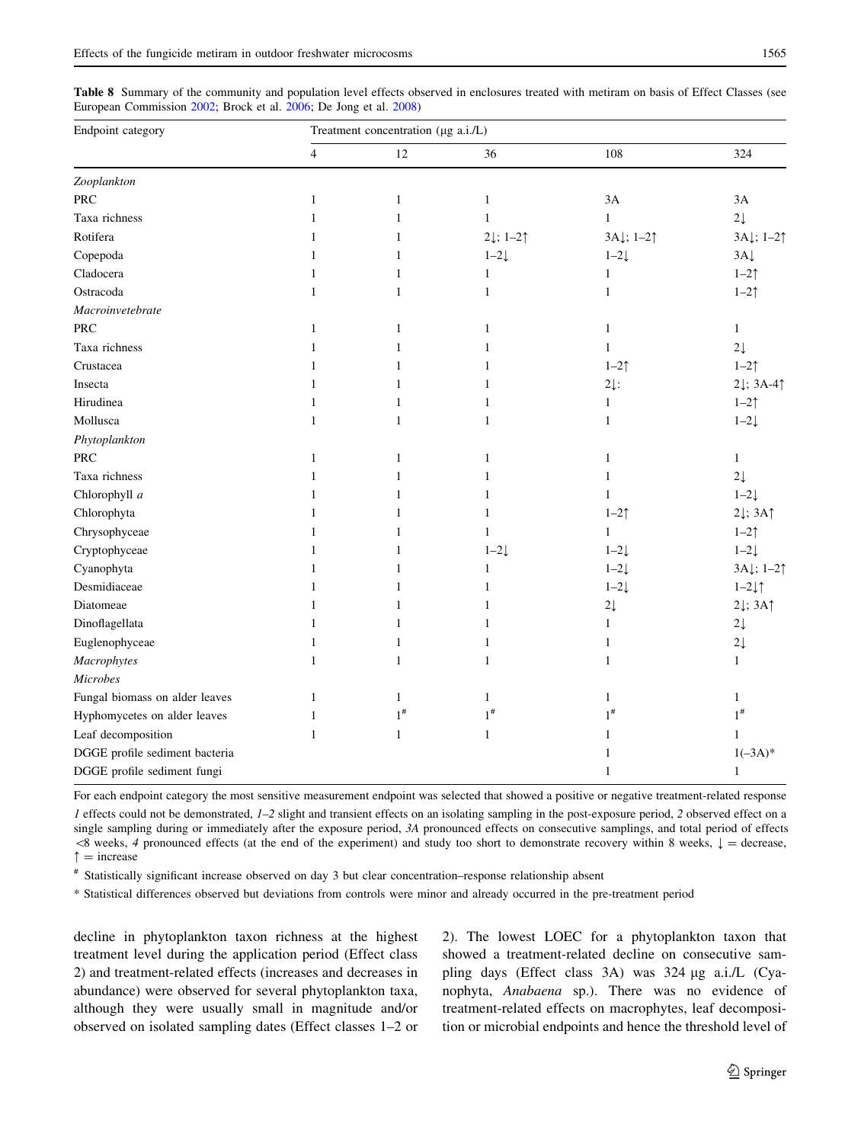<span id="page-15-0"></span>Table 8 Summary of the community and population level effects observed in enclosures treated with metiram on basis of Effect Classes (see European Commission [2002](#page-18-0); Brock et al. [2006;](#page-17-0) De Jong et al. [2008\)](#page-18-0)

| Endpoint category              | Treatment concentration (µg a.i./L) |              |                                |                                 |                                        |  |  |  |  |  |  |
|--------------------------------|-------------------------------------|--------------|--------------------------------|---------------------------------|----------------------------------------|--|--|--|--|--|--|
|                                | $\overline{4}$                      | 12           | 36                             | 108                             | 324                                    |  |  |  |  |  |  |
| Zooplankton                    |                                     |              |                                |                                 |                                        |  |  |  |  |  |  |
| PRC                            | $\mathbf{1}$                        | $\mathbf{1}$ | $\mathbf{1}$                   | 3A                              | 3A                                     |  |  |  |  |  |  |
| Taxa richness                  | $\mathbf{1}$                        | $\mathbf{1}$ | $\mathbf{1}$                   | $\mathbf{1}$                    | $2\!\!\downarrow$                      |  |  |  |  |  |  |
| Rotifera                       | $\mathbf{1}$                        | $\mathbf{1}$ | $2\downarrow$ ; 1-2 $\uparrow$ | $3A\downarrow$ ; 1-2 $\uparrow$ | $3A\downarrow$ ; 1-2 $\uparrow$        |  |  |  |  |  |  |
| Copepoda                       | 1                                   | 1            | $1-2$                          | $1-2\downarrow$                 | $3A\downarrow$                         |  |  |  |  |  |  |
| Cladocera                      | 1                                   | 1            | $\mathbf{1}$                   | $\mathbf{1}$                    | $1-2$                                  |  |  |  |  |  |  |
| Ostracoda                      | $\mathbf{1}$                        | $\mathbf{1}$ | $\mathbf{1}$                   | $\mathbf{1}$                    | $1-2$                                  |  |  |  |  |  |  |
| Macroinvetebrate               |                                     |              |                                |                                 |                                        |  |  |  |  |  |  |
| <b>PRC</b>                     | 1                                   | 1            | 1                              | 1                               | $\mathbf{1}$                           |  |  |  |  |  |  |
| Taxa richness                  | $\mathbf{1}$                        | $\mathbf{1}$ | $\mathbf{1}$                   | $\mathbf{1}$                    | $2\downarrow$                          |  |  |  |  |  |  |
| Crustacea                      | 1                                   | 1            | 1                              | $1-2$                           | $1-2$ <sup><math>\uparrow</math></sup> |  |  |  |  |  |  |
| Insecta                        | 1                                   | $\mathbf{1}$ | 1                              | $2\downarrow$ :                 | $2\downarrow$ ; 3A-4 $\uparrow$        |  |  |  |  |  |  |
| Hirudinea                      | 1                                   | $\mathbf{1}$ | 1                              | $\mathbf{1}$                    | $1-2$                                  |  |  |  |  |  |  |
| Mollusca                       | $\mathbf{1}$                        | $\mathbf{1}$ | $\mathbf{1}$                   | $\mathbf{1}$                    | $1-2\downarrow$                        |  |  |  |  |  |  |
| Phytoplankton                  |                                     |              |                                |                                 |                                        |  |  |  |  |  |  |
| PRC                            | $\mathbf{1}$                        | 1            | $\mathbf{1}$                   | 1                               | $\mathbf{1}$                           |  |  |  |  |  |  |
| Taxa richness                  | 1                                   | 1            | 1                              | 1                               | $2\downarrow$                          |  |  |  |  |  |  |
| Chlorophyll a                  | $\mathbf{1}$                        | 1            | $\mathbf{1}$                   | $\mathbf{1}$                    | $1-2$                                  |  |  |  |  |  |  |
| Chlorophyta                    | $\mathbf{1}$                        | 1            | $\mathbf{1}$                   | $1-2$                           | $2\downarrow$ ; $3A\uparrow$           |  |  |  |  |  |  |
| Chrysophyceae                  | 1                                   | 1            | 1                              | $\mathbf{1}$                    | $1 - 21$                               |  |  |  |  |  |  |
| Cryptophyceae                  | $\mathbf{1}$                        | $\mathbf{1}$ | $1-2$                          | $1-2\downarrow$                 | $1-2\downarrow$                        |  |  |  |  |  |  |
| Cyanophyta                     | 1                                   | 1            | $\mathbf{1}$                   | $1-2\downarrow$                 | $3A\downarrow$ ; 1-2 $\uparrow$        |  |  |  |  |  |  |
| Desmidiaceae                   | $\mathbf{1}$                        | $\mathbf{1}$ | $\mathbf{1}$                   | $1-2\downarrow$                 | $1-2\downarrow\uparrow$                |  |  |  |  |  |  |
| Diatomeae                      | $\mathbf{1}$                        | $\mathbf{1}$ | 1                              | $2\!\!\downarrow$               | $2\downarrow$ ; $3A\uparrow$           |  |  |  |  |  |  |
| Dinoflagellata                 | $\mathbf{1}$                        | $\mathbf{1}$ | $\mathbf{1}$                   | $\mathbf{1}$                    | $2\!\downarrow$                        |  |  |  |  |  |  |
| Euglenophyceae                 | 1                                   | 1            | $\mathbf{1}$                   | 1                               | $2\!\downarrow$                        |  |  |  |  |  |  |
| Macrophytes                    | $\mathbf{1}$                        | $\mathbf{1}$ | $\mathbf{1}$                   | $\mathbf{1}$                    | $\mathbf{1}$                           |  |  |  |  |  |  |
| <b>Microbes</b>                |                                     |              |                                |                                 |                                        |  |  |  |  |  |  |
| Fungal biomass on alder leaves | 1                                   | $\mathbf{1}$ | 1                              | 1                               | $\mathbf{1}$                           |  |  |  |  |  |  |
| Hyphomycetes on alder leaves   | $\mathbf{1}$                        | $1^{\#}$     | $1^{\#}$                       | $1^{\#}$                        | $1^{\#}$                               |  |  |  |  |  |  |
| Leaf decomposition             | $\mathbf{1}$                        | $\mathbf{1}$ | $\mathbf{1}$                   | $\mathbf{1}$                    | $\mathbf{1}$                           |  |  |  |  |  |  |
| DGGE profile sediment bacteria |                                     |              |                                | 1                               | $1(-3A)*$                              |  |  |  |  |  |  |
| DGGE profile sediment fungi    |                                     |              |                                | 1                               | $\mathbf{1}$                           |  |  |  |  |  |  |

For each endpoint category the most sensitive measurement endpoint was selected that showed a positive or negative treatment-related response

1 effects could not be demonstrated, 1–2 slight and transient effects on an isolating sampling in the post-exposure period, 2 observed effect on a single sampling during or immediately after the exposure period, 3A pronounced effects on consecutive samplings, and total period of effects  $\&$  weeks, 4 pronounced effects (at the end of the experiment) and study too short to demonstrate recovery within 8 weeks,  $\downarrow$  = decrease,  $\uparrow$  = increase

# Statistically significant increase observed on day 3 but clear concentration–response relationship absent

\* Statistical differences observed but deviations from controls were minor and already occurred in the pre-treatment period

decline in phytoplankton taxon richness at the highest treatment level during the application period (Effect class 2) and treatment-related effects (increases and decreases in abundance) were observed for several phytoplankton taxa, although they were usually small in magnitude and/or observed on isolated sampling dates (Effect classes 1–2 or 2). The lowest LOEC for a phytoplankton taxon that showed a treatment-related decline on consecutive sampling days (Effect class 3A) was 324 µg a.i./L (Cyanophyta, Anabaena sp.). There was no evidence of treatment-related effects on macrophytes, leaf decomposition or microbial endpoints and hence the threshold level of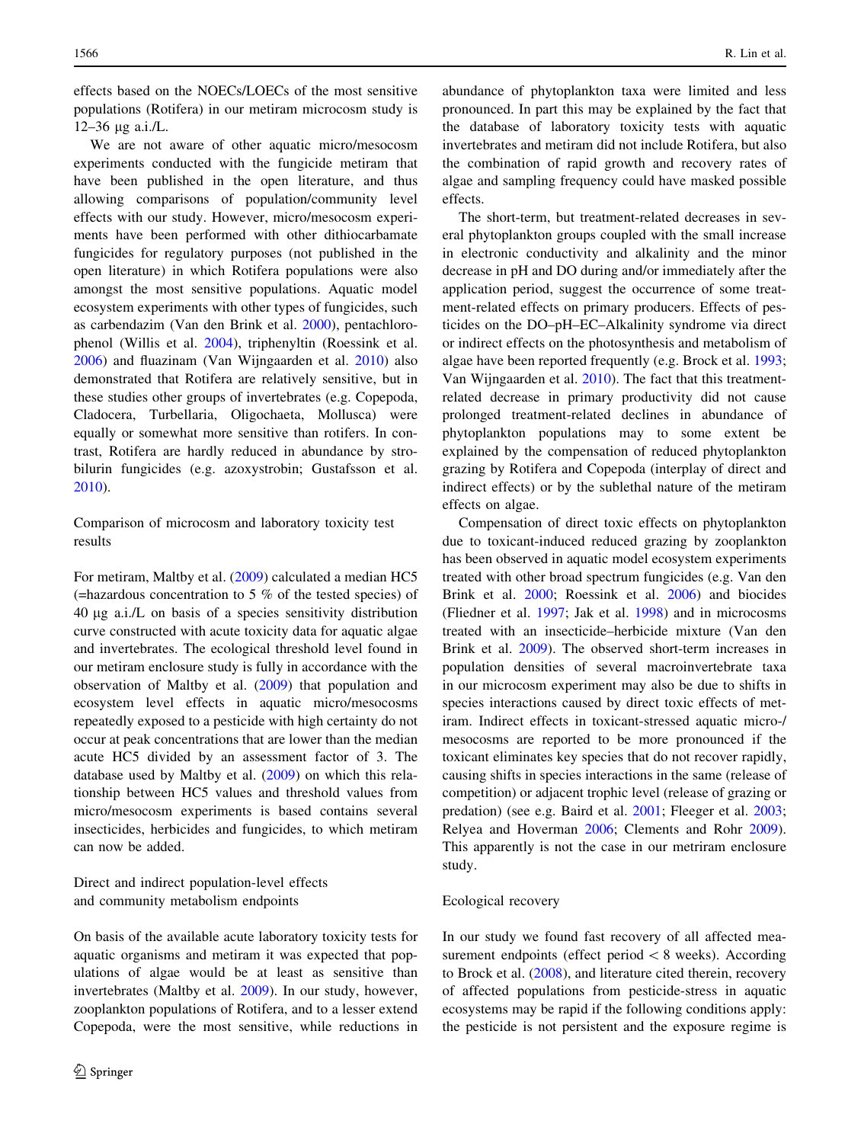effects based on the NOECs/LOECs of the most sensitive populations (Rotifera) in our metiram microcosm study is 12–36 lg a.i./L.

We are not aware of other aquatic micro/mesocosm experiments conducted with the fungicide metiram that have been published in the open literature, and thus allowing comparisons of population/community level effects with our study. However, micro/mesocosm experiments have been performed with other dithiocarbamate fungicides for regulatory purposes (not published in the open literature) in which Rotifera populations were also amongst the most sensitive populations. Aquatic model ecosystem experiments with other types of fungicides, such as carbendazim (Van den Brink et al. [2000](#page-19-0)), pentachlorophenol (Willis et al. [2004](#page-19-0)), triphenyltin (Roessink et al. [2006\)](#page-18-0) and fluazinam (Van Wijngaarden et al. [2010\)](#page-19-0) also demonstrated that Rotifera are relatively sensitive, but in these studies other groups of invertebrates (e.g. Copepoda, Cladocera, Turbellaria, Oligochaeta, Mollusca) were equally or somewhat more sensitive than rotifers. In contrast, Rotifera are hardly reduced in abundance by strobilurin fungicides (e.g. azoxystrobin; Gustafsson et al. [2010\)](#page-18-0).

Comparison of microcosm and laboratory toxicity test results

For metiram, Maltby et al. [\(2009](#page-18-0)) calculated a median HC5 (=hazardous concentration to 5 % of the tested species) of 40 lg a.i./L on basis of a species sensitivity distribution curve constructed with acute toxicity data for aquatic algae and invertebrates. The ecological threshold level found in our metiram enclosure study is fully in accordance with the observation of Maltby et al. [\(2009](#page-18-0)) that population and ecosystem level effects in aquatic micro/mesocosms repeatedly exposed to a pesticide with high certainty do not occur at peak concentrations that are lower than the median acute HC5 divided by an assessment factor of 3. The database used by Maltby et al. [\(2009](#page-18-0)) on which this relationship between HC5 values and threshold values from micro/mesocosm experiments is based contains several insecticides, herbicides and fungicides, to which metiram can now be added.

Direct and indirect population-level effects and community metabolism endpoints

On basis of the available acute laboratory toxicity tests for aquatic organisms and metiram it was expected that populations of algae would be at least as sensitive than invertebrates (Maltby et al. [2009](#page-18-0)). In our study, however, zooplankton populations of Rotifera, and to a lesser extend Copepoda, were the most sensitive, while reductions in abundance of phytoplankton taxa were limited and less pronounced. In part this may be explained by the fact that the database of laboratory toxicity tests with aquatic invertebrates and metiram did not include Rotifera, but also the combination of rapid growth and recovery rates of algae and sampling frequency could have masked possible effects.

The short-term, but treatment-related decreases in several phytoplankton groups coupled with the small increase in electronic conductivity and alkalinity and the minor decrease in pH and DO during and/or immediately after the application period, suggest the occurrence of some treatment-related effects on primary producers. Effects of pesticides on the DO–pH–EC–Alkalinity syndrome via direct or indirect effects on the photosynthesis and metabolism of algae have been reported frequently (e.g. Brock et al. [1993](#page-17-0); Van Wijngaarden et al. [2010\)](#page-19-0). The fact that this treatmentrelated decrease in primary productivity did not cause prolonged treatment-related declines in abundance of phytoplankton populations may to some extent be explained by the compensation of reduced phytoplankton grazing by Rotifera and Copepoda (interplay of direct and indirect effects) or by the sublethal nature of the metiram effects on algae.

Compensation of direct toxic effects on phytoplankton due to toxicant-induced reduced grazing by zooplankton has been observed in aquatic model ecosystem experiments treated with other broad spectrum fungicides (e.g. Van den Brink et al. [2000;](#page-19-0) Roessink et al. [2006\)](#page-18-0) and biocides (Fliedner et al. [1997](#page-18-0); Jak et al. [1998](#page-18-0)) and in microcosms treated with an insecticide–herbicide mixture (Van den Brink et al. [2009\)](#page-19-0). The observed short-term increases in population densities of several macroinvertebrate taxa in our microcosm experiment may also be due to shifts in species interactions caused by direct toxic effects of metiram. Indirect effects in toxicant-stressed aquatic micro-/ mesocosms are reported to be more pronounced if the toxicant eliminates key species that do not recover rapidly, causing shifts in species interactions in the same (release of competition) or adjacent trophic level (release of grazing or predation) (see e.g. Baird et al. [2001;](#page-17-0) Fleeger et al. [2003](#page-18-0); Relyea and Hoverman [2006;](#page-18-0) Clements and Rohr [2009](#page-17-0)). This apparently is not the case in our metriram enclosure study.

### Ecological recovery

In our study we found fast recovery of all affected measurement endpoints (effect period  $\lt 8$  weeks). According to Brock et al. [\(2008](#page-17-0)), and literature cited therein, recovery of affected populations from pesticide-stress in aquatic ecosystems may be rapid if the following conditions apply: the pesticide is not persistent and the exposure regime is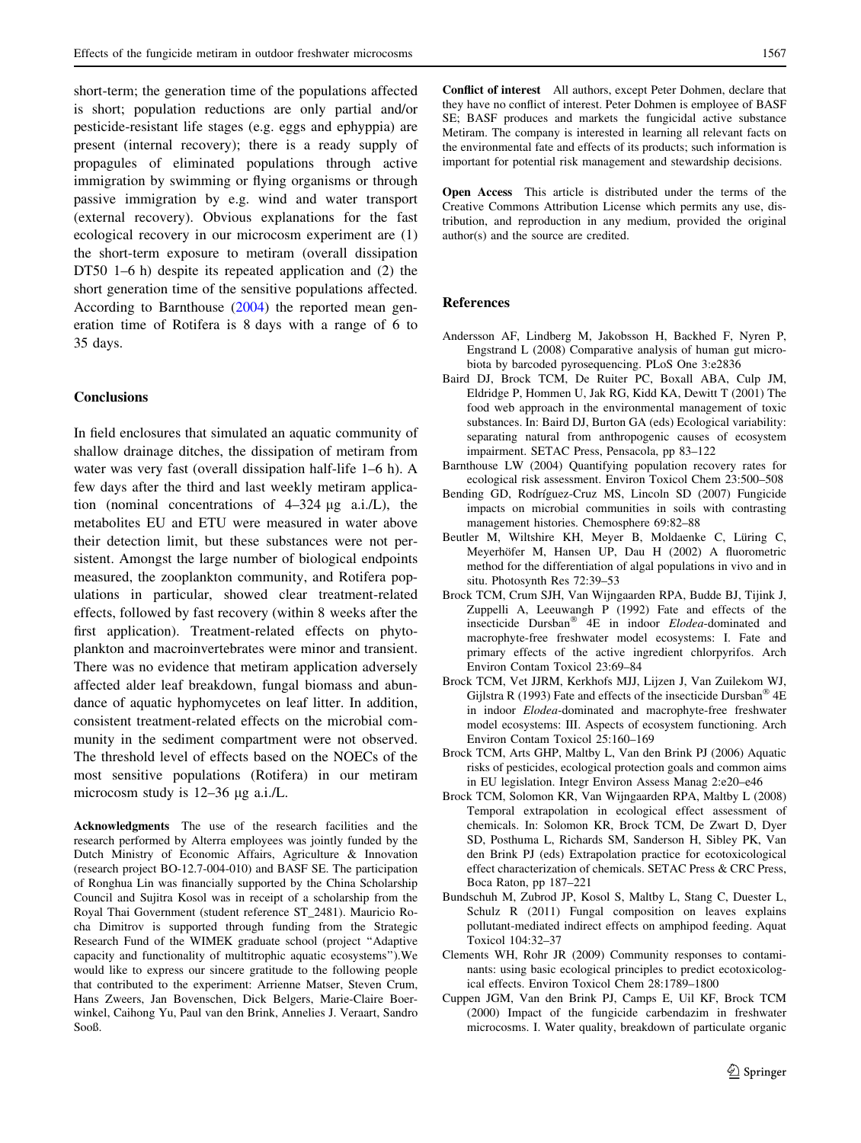<span id="page-17-0"></span>short-term; the generation time of the populations affected is short; population reductions are only partial and/or pesticide-resistant life stages (e.g. eggs and ephyppia) are present (internal recovery); there is a ready supply of propagules of eliminated populations through active immigration by swimming or flying organisms or through passive immigration by e.g. wind and water transport (external recovery). Obvious explanations for the fast ecological recovery in our microcosm experiment are (1) the short-term exposure to metiram (overall dissipation DT50 1–6 h) despite its repeated application and (2) the short generation time of the sensitive populations affected. According to Barnthouse (2004) the reported mean generation time of Rotifera is 8 days with a range of 6 to 35 days.

# **Conclusions**

In field enclosures that simulated an aquatic community of shallow drainage ditches, the dissipation of metiram from water was very fast (overall dissipation half-life 1–6 h). A few days after the third and last weekly metiram application (nominal concentrations of  $4-324 \mu$ g a.i./L), the metabolites EU and ETU were measured in water above their detection limit, but these substances were not persistent. Amongst the large number of biological endpoints measured, the zooplankton community, and Rotifera populations in particular, showed clear treatment-related effects, followed by fast recovery (within 8 weeks after the first application). Treatment-related effects on phytoplankton and macroinvertebrates were minor and transient. There was no evidence that metiram application adversely affected alder leaf breakdown, fungal biomass and abundance of aquatic hyphomycetes on leaf litter. In addition, consistent treatment-related effects on the microbial community in the sediment compartment were not observed. The threshold level of effects based on the NOECs of the most sensitive populations (Rotifera) in our metiram microcosm study is  $12-36 \mu$ g a.i./L.

Acknowledgments The use of the research facilities and the research performed by Alterra employees was jointly funded by the Dutch Ministry of Economic Affairs, Agriculture & Innovation (research project BO-12.7-004-010) and BASF SE. The participation of Ronghua Lin was financially supported by the China Scholarship Council and Sujitra Kosol was in receipt of a scholarship from the Royal Thai Government (student reference ST\_2481). Mauricio Rocha Dimitrov is supported through funding from the Strategic Research Fund of the WIMEK graduate school (project ''Adaptive capacity and functionality of multitrophic aquatic ecosystems'').We would like to express our sincere gratitude to the following people that contributed to the experiment: Arrienne Matser, Steven Crum, Hans Zweers, Jan Bovenschen, Dick Belgers, Marie-Claire Boerwinkel, Caihong Yu, Paul van den Brink, Annelies J. Veraart, Sandro Sooß.

Conflict of interest All authors, except Peter Dohmen, declare that they have no conflict of interest. Peter Dohmen is employee of BASF SE; BASF produces and markets the fungicidal active substance Metiram. The company is interested in learning all relevant facts on the environmental fate and effects of its products; such information is important for potential risk management and stewardship decisions.

Open Access This article is distributed under the terms of the Creative Commons Attribution License which permits any use, distribution, and reproduction in any medium, provided the original author(s) and the source are credited.

#### References

- Andersson AF, Lindberg M, Jakobsson H, Backhed F, Nyren P, Engstrand L (2008) Comparative analysis of human gut microbiota by barcoded pyrosequencing. PLoS One 3:e2836
- Baird DJ, Brock TCM, De Ruiter PC, Boxall ABA, Culp JM, Eldridge P, Hommen U, Jak RG, Kidd KA, Dewitt T (2001) The food web approach in the environmental management of toxic substances. In: Baird DJ, Burton GA (eds) Ecological variability: separating natural from anthropogenic causes of ecosystem impairment. SETAC Press, Pensacola, pp 83–122
- Barnthouse LW (2004) Quantifying population recovery rates for ecological risk assessment. Environ Toxicol Chem 23:500–508
- Bending GD, Rodríguez-Cruz MS, Lincoln SD (2007) Fungicide impacts on microbial communities in soils with contrasting management histories. Chemosphere 69:82–88
- Beutler M, Wiltshire KH, Meyer B, Moldaenke C, Lüring C, Meyerhöfer M, Hansen UP, Dau H (2002) A fluorometric method for the differentiation of algal populations in vivo and in situ. Photosynth Res 72:39–53
- Brock TCM, Crum SJH, Van Wijngaarden RPA, Budde BJ, Tijink J, Zuppelli A, Leeuwangh P (1992) Fate and effects of the insecticide  $Dursban^{\circledR}$   $4E$  in indoor *Elodea*-dominated and macrophyte-free freshwater model ecosystems: I. Fate and primary effects of the active ingredient chlorpyrifos. Arch Environ Contam Toxicol 23:69–84
- Brock TCM, Vet JJRM, Kerkhofs MJJ, Lijzen J, Van Zuilekom WJ, Gijlstra R (1993) Fate and effects of the insecticide Dursban<sup>®</sup> 4E in indoor Elodea-dominated and macrophyte-free freshwater model ecosystems: III. Aspects of ecosystem functioning. Arch Environ Contam Toxicol 25:160–169
- Brock TCM, Arts GHP, Maltby L, Van den Brink PJ (2006) Aquatic risks of pesticides, ecological protection goals and common aims in EU legislation. Integr Environ Assess Manag 2:e20–e46
- Brock TCM, Solomon KR, Van Wijngaarden RPA, Maltby L (2008) Temporal extrapolation in ecological effect assessment of chemicals. In: Solomon KR, Brock TCM, De Zwart D, Dyer SD, Posthuma L, Richards SM, Sanderson H, Sibley PK, Van den Brink PJ (eds) Extrapolation practice for ecotoxicological effect characterization of chemicals. SETAC Press & CRC Press, Boca Raton, pp 187–221
- Bundschuh M, Zubrod JP, Kosol S, Maltby L, Stang C, Duester L, Schulz R (2011) Fungal composition on leaves explains pollutant-mediated indirect effects on amphipod feeding. Aquat Toxicol 104:32–37
- Clements WH, Rohr JR (2009) Community responses to contaminants: using basic ecological principles to predict ecotoxicological effects. Environ Toxicol Chem 28:1789–1800
- Cuppen JGM, Van den Brink PJ, Camps E, Uil KF, Brock TCM (2000) Impact of the fungicide carbendazim in freshwater microcosms. I. Water quality, breakdown of particulate organic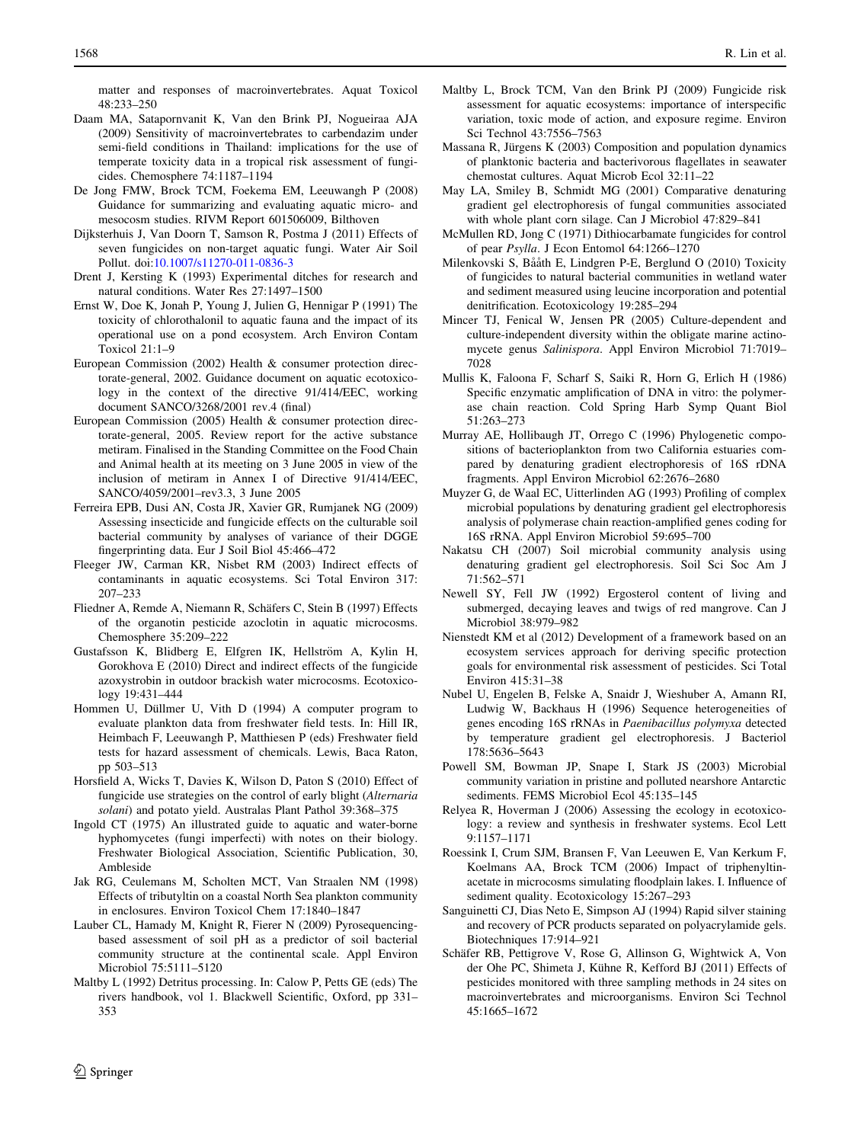<span id="page-18-0"></span>matter and responses of macroinvertebrates. Aquat Toxicol 48:233–250

- Daam MA, Satapornvanit K, Van den Brink PJ, Nogueiraa AJA (2009) Sensitivity of macroinvertebrates to carbendazim under semi-field conditions in Thailand: implications for the use of temperate toxicity data in a tropical risk assessment of fungicides. Chemosphere 74:1187–1194
- De Jong FMW, Brock TCM, Foekema EM, Leeuwangh P (2008) Guidance for summarizing and evaluating aquatic micro- and mesocosm studies. RIVM Report 601506009, Bilthoven
- Dijksterhuis J, Van Doorn T, Samson R, Postma J (2011) Effects of seven fungicides on non-target aquatic fungi. Water Air Soil Pollut. doi[:10.1007/s11270-011-0836-3](http://dx.doi.org/10.1007/s11270-011-0836-3)
- Drent J, Kersting K (1993) Experimental ditches for research and natural conditions. Water Res 27:1497–1500
- Ernst W, Doe K, Jonah P, Young J, Julien G, Hennigar P (1991) The toxicity of chlorothalonil to aquatic fauna and the impact of its operational use on a pond ecosystem. Arch Environ Contam Toxicol 21:1–9
- European Commission (2002) Health & consumer protection directorate-general, 2002. Guidance document on aquatic ecotoxicology in the context of the directive 91/414/EEC, working document SANCO/3268/2001 rev.4 (final)
- European Commission (2005) Health & consumer protection directorate-general, 2005. Review report for the active substance metiram. Finalised in the Standing Committee on the Food Chain and Animal health at its meeting on 3 June 2005 in view of the inclusion of metiram in Annex I of Directive 91/414/EEC, SANCO/4059/2001–rev3.3, 3 June 2005
- Ferreira EPB, Dusi AN, Costa JR, Xavier GR, Rumjanek NG (2009) Assessing insecticide and fungicide effects on the culturable soil bacterial community by analyses of variance of their DGGE fingerprinting data. Eur J Soil Biol 45:466–472
- Fleeger JW, Carman KR, Nisbet RM (2003) Indirect effects of contaminants in aquatic ecosystems. Sci Total Environ 317: 207–233
- Fliedner A, Remde A, Niemann R, Schäfers C, Stein B (1997) Effects of the organotin pesticide azoclotin in aquatic microcosms. Chemosphere 35:209–222
- Gustafsson K, Blidberg E, Elfgren IK, Hellström A, Kylin H, Gorokhova E (2010) Direct and indirect effects of the fungicide azoxystrobin in outdoor brackish water microcosms. Ecotoxicology 19:431–444
- Hommen U, Düllmer U, Vith D (1994) A computer program to evaluate plankton data from freshwater field tests. In: Hill IR, Heimbach F, Leeuwangh P, Matthiesen P (eds) Freshwater field tests for hazard assessment of chemicals. Lewis, Baca Raton, pp 503–513
- Horsfield A, Wicks T, Davies K, Wilson D, Paton S (2010) Effect of fungicide use strategies on the control of early blight (Alternaria solani) and potato yield. Australas Plant Pathol 39:368–375
- Ingold CT (1975) An illustrated guide to aquatic and water-borne hyphomycetes (fungi imperfecti) with notes on their biology. Freshwater Biological Association, Scientific Publication, 30, Ambleside
- Jak RG, Ceulemans M, Scholten MCT, Van Straalen NM (1998) Effects of tributyltin on a coastal North Sea plankton community in enclosures. Environ Toxicol Chem 17:1840–1847
- Lauber CL, Hamady M, Knight R, Fierer N (2009) Pyrosequencingbased assessment of soil pH as a predictor of soil bacterial community structure at the continental scale. Appl Environ Microbiol 75:5111–5120
- Maltby L (1992) Detritus processing. In: Calow P, Petts GE (eds) The rivers handbook, vol 1. Blackwell Scientific, Oxford, pp 331– 353
- Maltby L, Brock TCM, Van den Brink PJ (2009) Fungicide risk assessment for aquatic ecosystems: importance of interspecific variation, toxic mode of action, and exposure regime. Environ Sci Technol 43:7556–7563
- Massana R, Jürgens K  $(2003)$  Composition and population dynamics of planktonic bacteria and bacterivorous flagellates in seawater chemostat cultures. Aquat Microb Ecol 32:11–22
- May LA, Smiley B, Schmidt MG (2001) Comparative denaturing gradient gel electrophoresis of fungal communities associated with whole plant corn silage. Can J Microbiol 47:829–841
- McMullen RD, Jong C (1971) Dithiocarbamate fungicides for control of pear Psylla. J Econ Entomol 64:1266–1270
- Milenkovski S, Bååth E, Lindgren P-E, Berglund O (2010) Toxicity of fungicides to natural bacterial communities in wetland water and sediment measured using leucine incorporation and potential denitrification. Ecotoxicology 19:285–294
- Mincer TJ, Fenical W, Jensen PR (2005) Culture-dependent and culture-independent diversity within the obligate marine actinomycete genus Salinispora. Appl Environ Microbiol 71:7019– 7028
- Mullis K, Faloona F, Scharf S, Saiki R, Horn G, Erlich H (1986) Specific enzymatic amplification of DNA in vitro: the polymerase chain reaction. Cold Spring Harb Symp Quant Biol 51:263–273
- Murray AE, Hollibaugh JT, Orrego C (1996) Phylogenetic compositions of bacterioplankton from two California estuaries compared by denaturing gradient electrophoresis of 16S rDNA fragments. Appl Environ Microbiol 62:2676–2680
- Muyzer G, de Waal EC, Uitterlinden AG (1993) Profiling of complex microbial populations by denaturing gradient gel electrophoresis analysis of polymerase chain reaction-amplified genes coding for 16S rRNA. Appl Environ Microbiol 59:695–700
- Nakatsu CH (2007) Soil microbial community analysis using denaturing gradient gel electrophoresis. Soil Sci Soc Am J 71:562–571
- Newell SY, Fell JW (1992) Ergosterol content of living and submerged, decaying leaves and twigs of red mangrove. Can J Microbiol 38:979–982
- Nienstedt KM et al (2012) Development of a framework based on an ecosystem services approach for deriving specific protection goals for environmental risk assessment of pesticides. Sci Total Environ 415:31–38
- Nubel U, Engelen B, Felske A, Snaidr J, Wieshuber A, Amann RI, Ludwig W, Backhaus H (1996) Sequence heterogeneities of genes encoding 16S rRNAs in Paenibacillus polymyxa detected by temperature gradient gel electrophoresis. J Bacteriol 178:5636–5643
- Powell SM, Bowman JP, Snape I, Stark JS (2003) Microbial community variation in pristine and polluted nearshore Antarctic sediments. FEMS Microbiol Ecol 45:135–145
- Relyea R, Hoverman J (2006) Assessing the ecology in ecotoxicology: a review and synthesis in freshwater systems. Ecol Lett 9:1157–1171
- Roessink I, Crum SJM, Bransen F, Van Leeuwen E, Van Kerkum F, Koelmans AA, Brock TCM (2006) Impact of triphenyltinacetate in microcosms simulating floodplain lakes. I. Influence of sediment quality. Ecotoxicology 15:267–293
- Sanguinetti CJ, Dias Neto E, Simpson AJ (1994) Rapid silver staining and recovery of PCR products separated on polyacrylamide gels. Biotechniques 17:914–921
- Schäfer RB, Pettigrove V, Rose G, Allinson G, Wightwick A, Von der Ohe PC, Shimeta J, Kühne R, Kefford BJ (2011) Effects of pesticides monitored with three sampling methods in 24 sites on macroinvertebrates and microorganisms. Environ Sci Technol 45:1665–1672